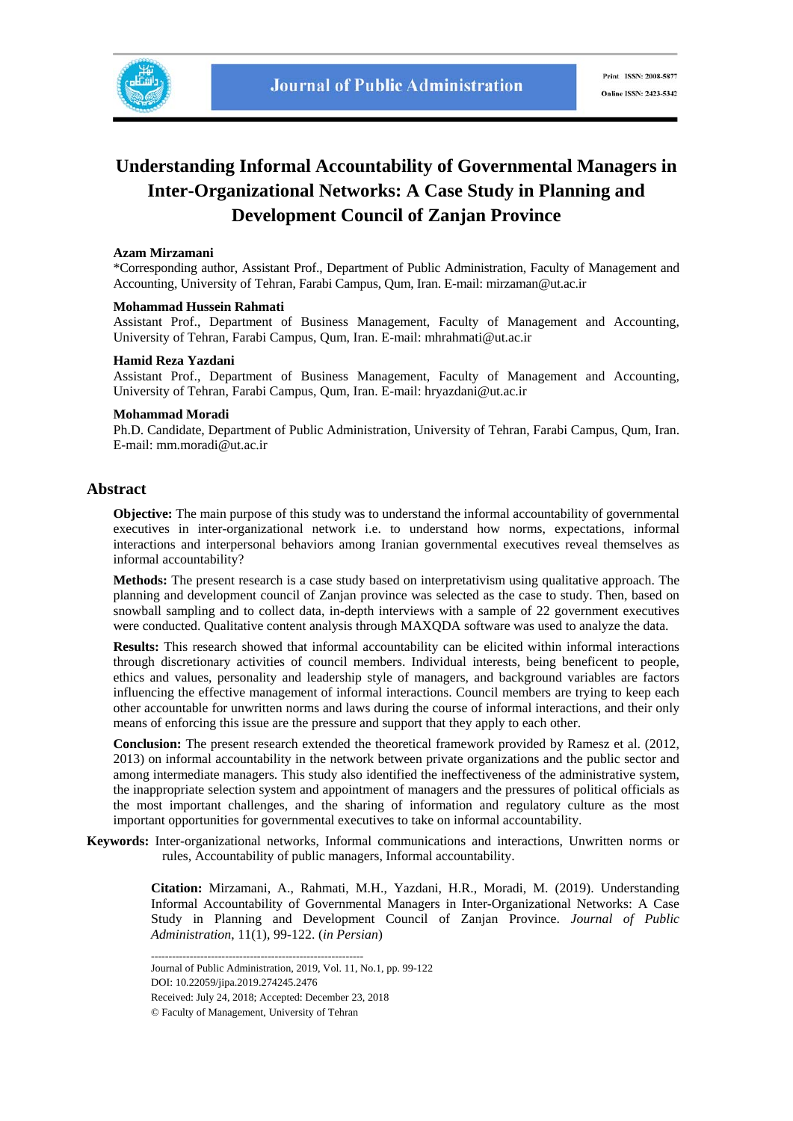

## **Understanding Informal Accountability of Governmental Managers in Inter-Organizational Networks: A Case Study in Planning and Development Council of Zanjan Province**

#### **Azam Mirzamani**

\*Corresponding author, Assistant Prof., Department of Public Administration, Faculty of Management and Accounting, University of Tehran, Farabi Campus, Qum, Iran. E-mail: mirzaman@ut.ac.ir

#### **Mohammad Hussein Rahmati**

Assistant Prof., Department of Business Management, Faculty of Management and Accounting, University of Tehran, Farabi Campus, Qum, Iran. E-mail: mhrahmati@ut.ac.ir

#### **Hamid Reza Yazdani**

Assistant Prof., Department of Business Management, Faculty of Management and Accounting, University of Tehran, Farabi Campus, Qum, Iran. E-mail: hryazdani@ut.ac.ir

#### **Mohammad Moradi**

Ph.D. Candidate, Department of Public Administration, University of Tehran, Farabi Campus, Qum, Iran. E-mail: mm.moradi@ut.ac.ir

#### **Abstract**

**Objective:** The main purpose of this study was to understand the informal accountability of governmental executives in inter-organizational network i.e. to understand how norms, expectations, informal interactions and interpersonal behaviors among Iranian governmental executives reveal themselves as informal accountability?

**Methods:** The present research is a case study based on interpretativism using qualitative approach. The planning and development council of Zanjan province was selected as the case to study. Then, based on snowball sampling and to collect data, in-depth interviews with a sample of 22 government executives were conducted. Qualitative content analysis through MAXQDA software was used to analyze the data.

**Results:** This research showed that informal accountability can be elicited within informal interactions through discretionary activities of council members. Individual interests, being beneficent to people, ethics and values, personality and leadership style of managers, and background variables are factors influencing the effective management of informal interactions. Council members are trying to keep each other accountable for unwritten norms and laws during the course of informal interactions, and their only means of enforcing this issue are the pressure and support that they apply to each other.

**Conclusion:** The present research extended the theoretical framework provided by Ramesz et al. (2012, 2013) on informal accountability in the network between private organizations and the public sector and among intermediate managers. This study also identified the ineffectiveness of the administrative system, the inappropriate selection system and appointment of managers and the pressures of political officials as the most important challenges, and the sharing of information and regulatory culture as the most important opportunities for governmental executives to take on informal accountability.

**Keywords:** Inter-organizational networks, Informal communications and interactions, Unwritten norms or rules, Accountability of public managers, Informal accountability.

> **Citation:** Mirzamani, A., Rahmati, M.H., Yazdani, H.R., Moradi, M. (2019). Understanding Informal Accountability of Governmental Managers in Inter-Organizational Networks: A Case Study in Planning and Development Council of Zanjan Province. *Journal of Public Administration*, 11(1), 99-122. (*in Persian*)

------------------------------------------------------------ Journal of Public Administration, 2019, Vol. 11, No.1, pp. 99-122 DOI: 10.22059/jipa.2019.274245.2476 Received: July 24, 2018; Accepted: December 23, 2018 © Faculty of Management, University of Tehran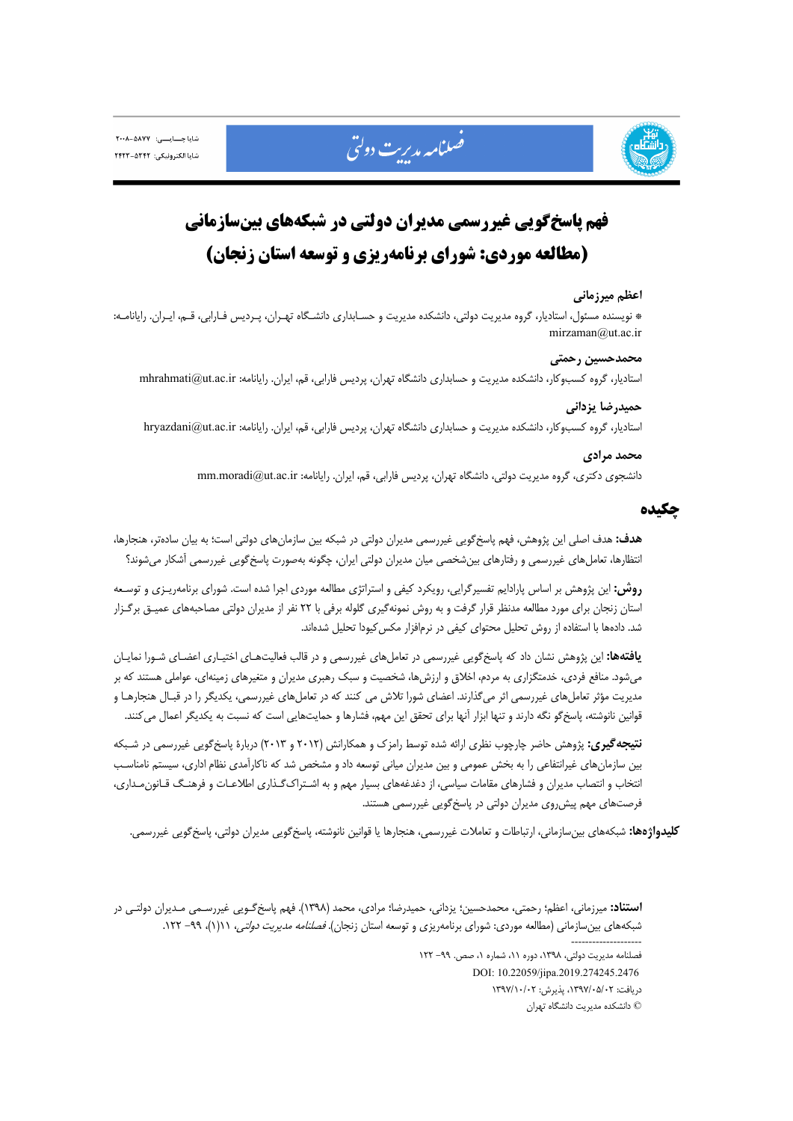



# **فهم پاسخگويي غيررسمي مديران دولتي در شبكههاي بينسازماني (مطالعه موردي: شوراي برنامهريزي و توسعه استان زنجان)**

#### **اعظم ميرزماني**

\* نويسنده مسئول، استاديار، گروه مديريت دولتي، دانشكده مديريت و حسـابداري دانشـگاه تهـران، پـرديس فـارابي، قـم، ايـران. رايانامـه: mirzaman@ut.ac.ir

#### **محمدحسين رحمتي**

استاديار، گروه كسبوكار، دانشكده مديريت و حسابداري دانشگاه تهران، پرديس فارابي، قم، ايران. رايانامه: ir.ac.ut@mhrahmati

## **حميدرضا يزداني**

استاديار، گروه كسبوكار، دانشكده مديريت و حسابداري دانشگاه تهران، پرديس فارابي، قم، ايران. رايانامه: hryazdani@ut.ac.ir

#### **محمد مرادي**

دانشجوي دكتري، گروه مديريت دولتي، دانشگاه تهران، پرديس فارابي، قم، ايران. رايانامه: mm.moradi@ut.ac.ir

#### **چكيده**

**هدف:** هدف اصلي اين پژوهش، فهم پاسخگويي غيررسمي مديران دولتي در شبكه بين سازمانهاي دولتي است؛ به بيان سادهتر، هنجارها، انتظارها، تعاملهاي غيررسمي و رفتارهاي بينشخصي ميان مديران دولتي ايران، چگونه بهصورت پاسخگويي غيررسمي آشكار ميشوند؟

**روش:** اين پژوهش بر اساس پارادايم تفسيرگرايي، رويكرد كيفي و استراتژي مطالعه موردي اجرا شده است. شوراي برنامهريـزي و توسـعه استان زنجان براي مورد مطالعه مدنظر قرار گرفت و به روش نمونهگيري گلوله برفي با 22 نفر از مديران دولتي مصاحبههاي عميـق برگـزار شد. دادهها با استفاده از روش تحليل محتواي كيفي در نرمافزار مكسكيودا تحليل شدهاند.

**يافتهها:** اين پژوهش نشان داد كه پاسخگويي غيررسمي در تعاملهاي غيررسمي و در قالب فعاليتهـاي اختيـاري اعضـاي شـورا نمايـان ميشود. منافع فردي، خدمتگزاري به مردم، اخلاق و ارزشها، شخصيت و سبك رهبري مديران و متغيرهاي زمينهاي، عواملي هستند كه بر مديريت مؤثر تعاملهاي غيررسمي اثر ميگذارند. اعضاي شورا تلاش مي كنند كه در تعاملهاي غيررسمي، يكديگر را در قبـال هنجارهـا و قوانين نانوشته، پاسخگو نگه دارند و تنها ابزار آنها براي تحقق اين مهم، فشارها و حمايتهايي است كه نسبت به يكديگر اعمال ميكنند.

**نتيجهگيري:** پژوهش حاضر چارچوب نظري ارائه شده توسط رامزك و همكارانش (2012 و 2013) دربارة پاسخگويي غيررسمي در شـبكه بين سازمانهاي غيرانتفاعي را به بخش عمومي و بين مديران مياني توسعه داد و مشخص شد كه ناكارآمدي نظام اداري، سيستم نامناسـب انتخاب و انتصاب مديران و فشارهاي مقامات سياسي، از دغدغههاي بسيار مهم و به اشـتراكگـذاري اطلاعـات و فرهنـگ قـانونمـداري، فرصتهاي مهم پيشروي مديران دولتي در پاسخگويي غيررسمي هستند.

**كليدواژهها:** شبكههاي بينسازماني، ارتباطات و تعاملات غيررسمي، هنجارها يا قوانين نانوشته، پاسخگويي مديران دولتي، پاسخگويي غيررسمي.

**استناد:** ميرزماني، اعظم؛ رحمتي، محمدحسين؛ يزداني، حميدرضا؛ مرادي، محمد (1398). فهم پاسخگـويي غيررسـمي مـديران دولتـي در شبكههاي بينسازماني (مطالعه موردي: شوراي برنامهريزي و توسعه استان زنجان). *فصلنامه مديريت دولتي،* ١١(١)، ٩٩- ١٢٢.

> -------------------- فصلنامه مديريت دولتي، ،1398 دوره ،11 شماره ،1 صص. -99 122 DOI: 10.22059/jipa.2019.274245.2476 دريافت: ،1397/05/02 پذيرش: 1397/10/02

> > © دانشكده مديريت دانشگاه تهران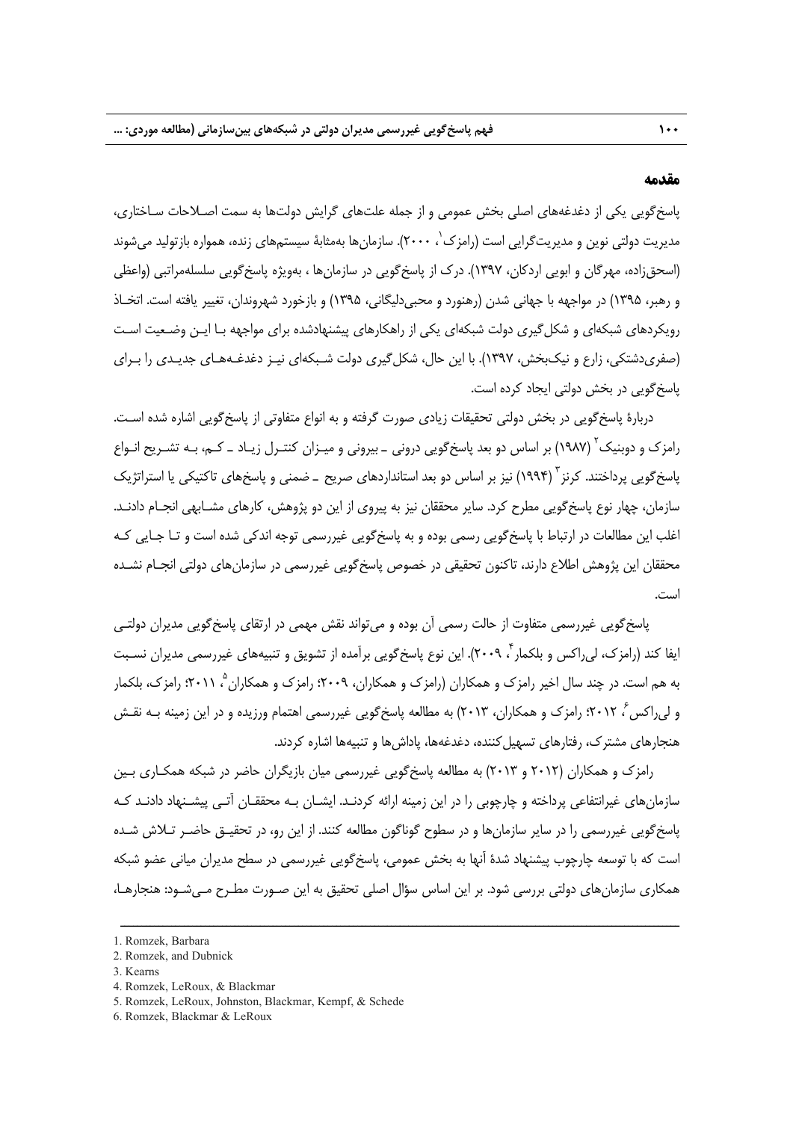#### **مقدمه**

پاسخگويي يكي از دغدغههاي اصلي بخش عمومي و از جمله علتهاي گرايش دولتها به سمت اصـلاحات سـاختاري، مدیریت دولتی نوین و مدیریت ${\cal E}$ رایی است (رامزک $\, '$  ، ۲۰۰۰). سازمانها بهمثابهٔ سیستمهای زنده، همواره بازتولید میشوند (اسحقزاده، مهرگان و ابويي اردكان، 1397). درك از پاسخگويي در سازمانها ، بهويژه پاسخگويي سلسلهمراتبي (واعظي و رهبر، 1395) در مواجهه با جهاني شدن (رهنورد و محبيدليگاني، 1395) و بازخورد شهروندان، تغيير يافته است. اتخـاذ رويكردهاي شبكهاي و شكلگيري دولت شبكهاي يكي از راهكارهاي پيشنهادشده براي مواجهه بـا ايـن وضـعيت اسـت (صفريدشتكي، زارع و نيكبخش، 1397). با اين حال، شكلگيري دولت شـبكهاي نيـز دغدغـههـاي جديـدي را بـراي پاسخگويي در بخش دولتي ايجاد كرده است.

دربارة پاسخگويي در بخش دولتي تحقيقات زيادي صورت گرفته و به انواع متفاوتي از پاسخگويي اشاره شده اسـت. رامزک و دوبنيک (١٩٨٧) بر اساس دو بعد پاسخگويي دروني ـ بيروني و ميـزان كنتـرل زيـاد ــ كـم، بـه تشـريح انـواع ياسخ گويي پر داختند. كرنز <sup>۲</sup> (۱۹۹۴) نيز بر اساس دو بعد استانداردهاي صريح \_ ضمني و پاسخهاي تاكتيكي يا استراتژيک سازمان، چهار نوع پاسخگويي مطرح كرد. ساير محققان نيز به پيروي از اين دو پژوهش، كارهاي مشـابهي انجـام دادنـد. اغلب اين مطالعات در ارتباط با پاسخگويي رسمي بوده و به پاسخگويي غيررسمي توجه اندكي شده است و تـا جـايي كـه محققان اين پژوهش اطلاع دارند، تاكنون تحقيقي در خصوص پاسخگويي غيررسمي در سازمانهاي دولتي انجـام نشـده است.

پاسخگويي غيررسمي متفاوت از حالت رسمي آن بوده و ميتواند نقش مهمي در ارتقاي پاسخگويي مديران دولتـي ايفا كند (رامزک، لي راكس و بلكمار ً، ٢٠٠٩). اين نوع پاسخ گويي برآمده از تشويق و تنبيههاي غيررسمي مديران نسـبت به هم است. در چند سال اخير رامزك و همكاران (رامزك و همكاران، ٢٠٠٩؛ رامزك و همكاران <sup>۵</sup>، ٢٠١١؛ رامزك، بلكمار و ليراكس ، 2012؛ رامزك و همكاران، 2013) به مطالعه پاسخگويي غيررسمي اهتمام ورزيده و در اين زمينه بـه نقـش <sup>6</sup> هنجارهاي مشترك، رفتارهاي تسهيلكننده، دغدغهها، پاداشها و تنبيهها اشاره كردند.

رامزك و همكاران (2012 و 2013) به مطالعه پاسخگويي غيررسمي ميان بازيگران حاضر در شبكه همكـاري بـين سازمانهاي غيرانتفاعي پرداخته و چارچوبي را در اين زمينه ارائه كردنـد. ايشـان بـه محققـان آتـي پيشـنهاد دادنـد كـه پاسخگويي غيررسمي را در ساير سازمانها و در سطوح گوناگون مطالعه كنند. از اين رو، در تحقيـق حاضـر تـلاش شـده است كه با توسعه چارچوب پيشنهاد شدة آنها به بخش عمومي، پاسخگويي غيررسمي در سطح مديران مياني عضو شبكه همكاري سازمانهاي دولتي بررسي شود. بر اين اساس سؤال اصلي تحقيق به اين صـورت مطـرح مـيشـود: هنجارهـا،

ــــــــــــــــــــــــــــــــــــــــــــــــــــــــــــــــــــــــــــــــــــــــــــــــــــــــــــــــــــــــــــــــــــ

4. Romzek, LeRoux, & Blackmar

<sup>1.</sup> Romzek, Barbara

<sup>2.</sup> Romzek, and Dubnick

<sup>3.</sup> Kearns

<sup>5.</sup> Romzek, LeRoux, Johnston, Blackmar, Kempf, & Schede

<sup>6.</sup> Romzek, Blackmar & LeRoux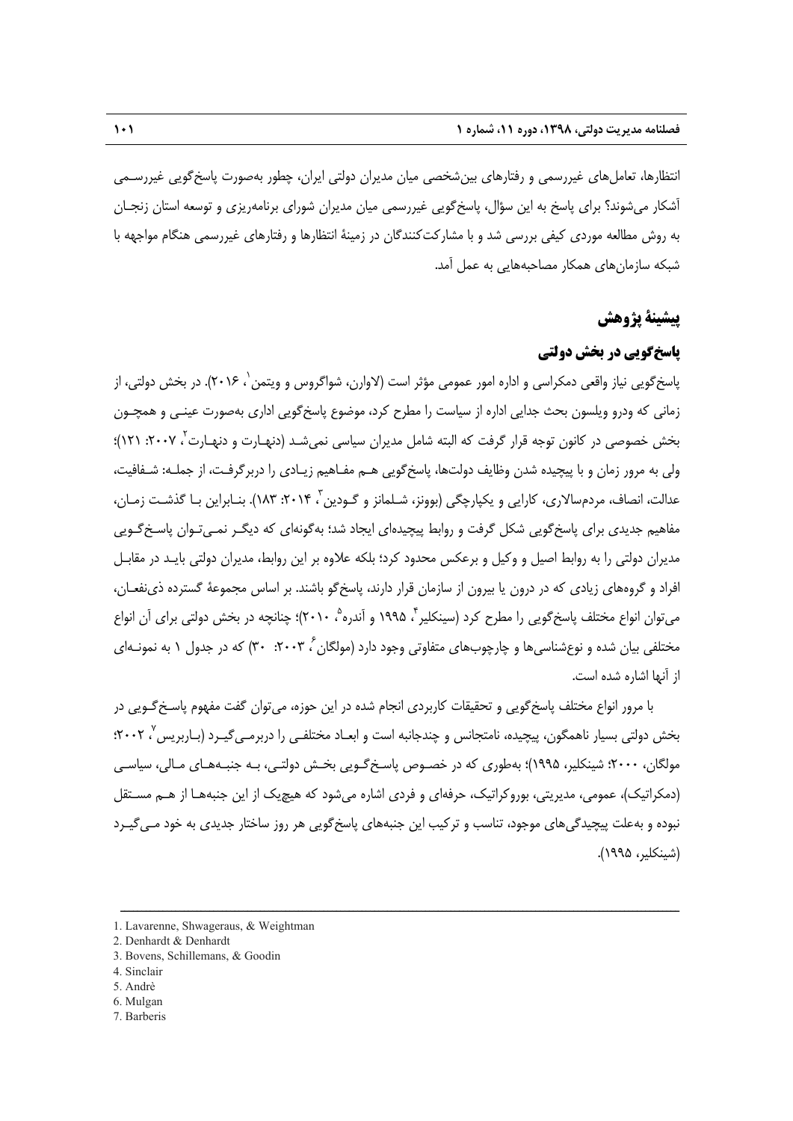انتظارها، تعاملهاي غيررسمي و رفتارهاي بينشخصي ميان مديران دولتي ايران، چطور بهصورت پاسخگويي غيررسـمي آشكار ميشوند؟ براي پاسخ به اين سؤال، پاسخگويي غيررسمي ميان مديران شوراي برنامهريزي و توسعه استان زنجـان به روش مطالعه موردي كيفي بررسي شد و با مشاركتكنندگان در زمينة انتظارها و رفتارهاي غيررسمي هنگام مواجهه با شبكه سازمانهاي همكار مصاحبههايي به عمل آمد.

## **پيشينة پژوهش**

## **پاسخگويي در بخش دولتي**

پاسخگويي نياز واقعي دمكراسي و اداره امور عمومي مؤثر است (لاوارن، شواگروس و ويتمن`، ۲۰۱۶). در بخش دولتی، از زماني كه ودرو ويلسون بحث جدايي اداره از سياست را مطرح كرد، موضوع پاسخگويي اداري بهصورت عينـي و همچـون بخش خصوصي در كانون توجه قرار گرفت كه البته شامل مديران سياسي نمي شـد (دنهـارت و دنهـارت '، ۲۰۰۷: ۲۱۲)؛ ولي به مرور زمان و با پيچيده شدن وظايف دولتها، پاسخگويي هـم مفـاهيم زيـادي را دربرگرفـت، از جملـه: شـفافيت، عدالت، انصاف، مردمسالاري، كارايي و يكپارچگي (بوونز، شـلمانز و گـودين ، ٢٠١۴: ١٨٣). بنـابراين بـا گذشـت زمـان، مفاهيم جديدي براي پاسخگويي شكل گرفت و روابط پيچيدهاي ايجاد شد؛ بهگونهاي كه ديگـر نمـيتـوان پاسـخگـويي مديران دولتي را به روابط اصيل و وكيل و برعكس محدود كرد؛ بلكه علاوه بر اين روابط، مديران دولتي بايـد در مقابـل افراد و گروههاي زيادي كه در درون يا بيرون از سازمان قرار دارند، پاسخگو باشند. بر اساس مجموعة گسترده ذينفعـان، می¤وان انواع مختلف پاسخگویی را مطرح کرد (سینکلیر ٌ، ۱۹۹۵ و آندره ْ، ۲۰۱۰)؛ چنانچه در بخش دولتی برای آن انواع مختلفي بيان شده و نوعشناسيها و چارچوبهاي متفاوتي وجود دارد (مولگان ً، ۲۰۰۳: ۳۰) كه در جدول ۱ به نمونـهاي از آنها اشاره شده است.

با مرور انواع مختلف پاسخگويي و تحقيقات كاربردي انجام شده در اين حوزه، ميتوان گفت مفهوم پاسـخگـويي در 7 بخش دولتي بسيار ناهمگون، پيچيده، نامتجانس و چندجانبه است و ابعـاد مختلفـي را دربرمـيگيـرد (بـاربريس ، 2002؛ مولگان، 2000؛ شينكلير، 1995)؛ بهطوري كه در خصـوص پاسـخگـويي بخـش دولتـي، بـه جنبـههـاي مـالي، سياسـي (دمكراتيك)، عمومي، مديريتي، بوروكراتيك، حرفهاي و فردي اشاره ميشود كه هيچيك از اين جنبههـا از هـم مسـتقل نبوده و بهعلت پيچيدگيهاي موجود، تناسب و تركيب اين جنبههاي پاسخگويي هر روز ساختار جديدي به خود مـيگيـرد (شينكلير، 1995).

- 5. Andrè
- 6. Mulgan
- 7. Barberis

<sup>1.</sup> Lavarenne, Shwageraus, & Weightman

<sup>2.</sup> Denhardt & Denhardt

<sup>3.</sup> Bovens, Schillemans, & Goodin

<sup>4.</sup> Sinclair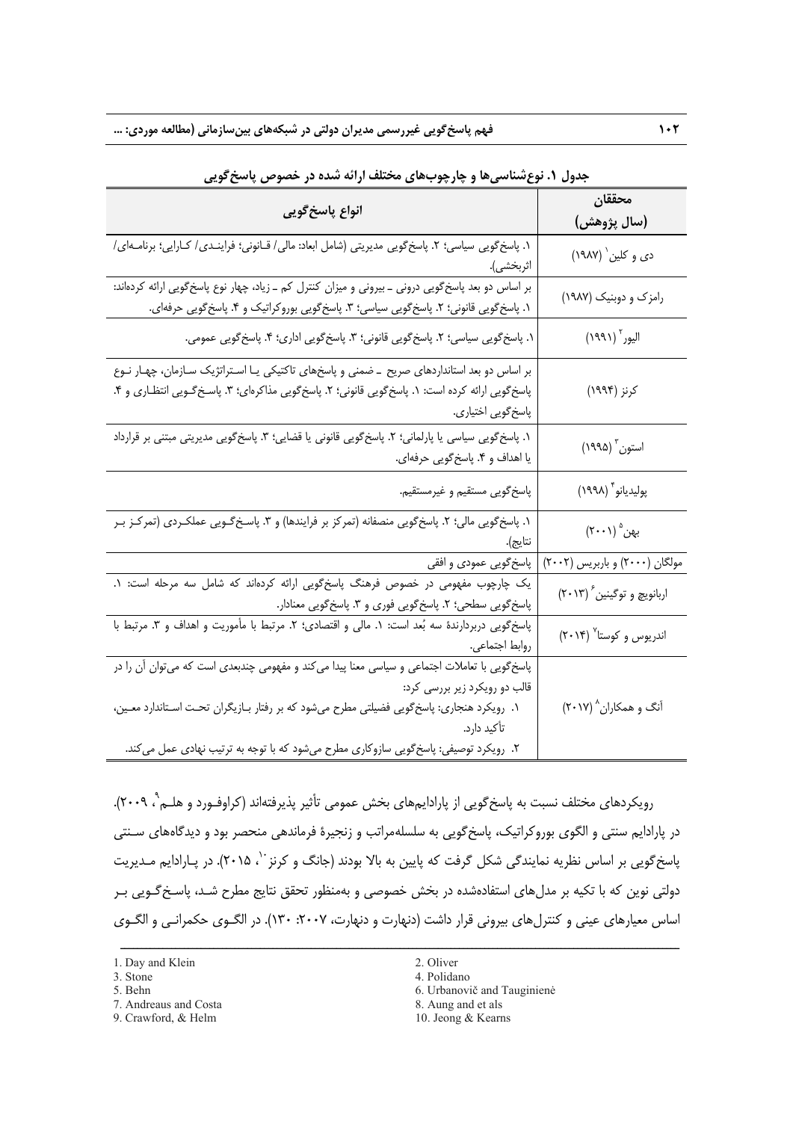| انواع پاسخ گويي                                                                                                                                                                                                                                                                                                                  | محققان                                                     |
|----------------------------------------------------------------------------------------------------------------------------------------------------------------------------------------------------------------------------------------------------------------------------------------------------------------------------------|------------------------------------------------------------|
|                                                                                                                                                                                                                                                                                                                                  | (سال پژوهش)                                                |
| ١. پاسخ گویی سیاسی؛ ٢. پاسخ گویی مدیریتی (شامل ابعاد: مالی/ قــانونی؛ فراینـدی/ کـارایی؛ برنامـهای/<br>اثربخشى).                                                                                                                                                                                                                 | دي و کلين` (١٩٨٧)                                          |
| بر اساس دو بعد پاسخگویی درونی ـ بیرونی و میزان کنترل کم ـ زیاد، چهار نوع پاسخگویی ارائه کردهاند:<br>١. پاسخ گویی قانونی؛ ٢. پاسخ گویی سیاسی؛ ٣. پاسخ گویی بورو کراتیک و ۴. پاسخ گویی حرفهای.                                                                                                                                     | رامزک و دوبنیک (۱۹۸۷)                                      |
| ١. پاسخ گویی سیاسی؛ ٢. پاسخ گویی قانونی؛ ٣. پاسخ گویی اداری؛ ۴. پاسخ گویی عمومی.                                                                                                                                                                                                                                                 | $\left(\mathcal{H}(\mathcal{M})\right)^{\mathrm{r}}$ اليور |
| بر اساس دو بعد استانداردهای صریح _ضمنی و پاسخهای تاکتیکی یـا اسـتراتژیک سـازمان، چهـار نـوع<br>پاسخ گویی ارائه کرده است: ۱. پاسخ گویی قانونی؛ ۲. پاسخ گویی مذاکرهای؛ ۳. پاسـخ گـویی انتظـاری و ۴.<br>پاسخ گويي اختياري.                                                                                                          | کرنز (۱۹۹۴)                                                |
| ١. پاسخ گویی سیاسی یا پارلمانی؛ ٢. پاسخ گویی قانونی یا قضایی؛ ٣. پاسخ گویی مدیریتی مبتنی بر قرارداد<br>يا اهداف و ۴. پاسخ گويي حرفهاي.                                                                                                                                                                                           | استون <sup>۳</sup> (۱۹۹۵)                                  |
| پاسخ گویی مستقیم و غیرمستقیم.                                                                                                                                                                                                                                                                                                    | پوليديانو <sup>۴</sup> (١٩٩٨)                              |
| ۱. پاسخگویی مالی؛ ۲. پاسخگویی منصفانه (تمرکز بر فرایندها) و ۳. پاسـخگـویی عملکـردی (تمرکـز بـر<br>نتايج).                                                                                                                                                                                                                        | بهن (۲۰۰۱)                                                 |
| پاسخگویی عمودی و افقی                                                                                                                                                                                                                                                                                                            | مولگان (۲۰۰۰) و باربریس (۲۰۰۲)                             |
| یک چارچوب مفهومی در خصوص فرهنگ پاسخگویی ارائه کردهاند که شامل سه مرحله است: ۱.<br>پاسخگویی سطحی؛ ۲. پاسخگویی فوری و ۳. پاسخگویی معنادار.                                                                                                                                                                                         | اربانویچ و توگینین <sup>۶</sup> (۲۰۱۳)                     |
| پاسخگویی دربردارندهٔ سه بُعد است: ۱. مالی و اقتصادی؛ ۲. مرتبط با مأموریت و اهداف و ۳. مرتبط با<br>روابط اجتماعي.                                                                                                                                                                                                                 | اندریوس و کوستا <sup>۷</sup> (۲۰۱۴)                        |
| پاسخگویی با تعاملات اجتماعی و سیاسی معنا پیدا میکند و مفهومی چندبعدی است که میتوان آن را در<br>قالب دو رویکرد زیر بررسی کرد:<br>۱.  رویکرد هنجاری: پاسخگویی فضیلتی مطرح میشود که بر رفتار بـازیگران تحـت اسـتاندارد معـین،<br>تأكيد دارد.<br>۲. رویکرد توصیفی: پاسخگویی سازوکاری مطرح میشود که با توجه به ترتیب نهادی عمل میکند. | آنگ و همکاران^ (۲۰۱۷)                                      |

**جدول .1 نوعشناسيها و چارچوبهاي مختلف ارائه شده در خصوص پاسخگويي** 

، 2009). <sup>9</sup> رويكردهاي مختلف نسبت به پاسخگويي از پارادايمهاي بخش عمومي تأثير پذيرفتهاند (كراوفـورد و هلـم در پارادايم سنتي و الگوي بوروكراتيك، پاسخگويي به سلسلهمراتب و زنجيرة فرماندهي منحصر بود و ديدگاههاي سـنتي پاسخ گويى بر اساس نظريه نمايندگى شكل گرفت كه پايين به بالا بودند (جانگ و كرنز ``، ۲۰۱۵). در پـارادايم مـديريت دولتي نوين كه با تكيه بر مدلهاي استفادهشده در بخش خصوصي و بهمنظور تحقق نتايج مطرح شـد، پاسـخگـويي بـر اساس معيارهاي عيني و كنترلهاي بيروني قرار داشت (دنهارت و دنهارت، :2007 130). در الگـوي حكمرانـي و الگـوي

- 
- 
- 7. Andreaus and Costa 8. Aung and et als<br>
9. Crawford, & Helm<br>
10. Jeong & Kearns
- 9. Crawford, & Helm
- 
- 3. Stone 4. Polidano 4. Polidano 4. Politica and 4. Politica and 4. Politica and 4. Politica and 4. Politica and 4. Politica and 4. Politica and 4. Politica and 4. Politica and 4. Politica and 4. Politica and 4. Politica a
- 5. Behn 6. Urbanovič and Tauginienė
	-
	-

<sup>1.</sup> Day and Klein 2. Oliver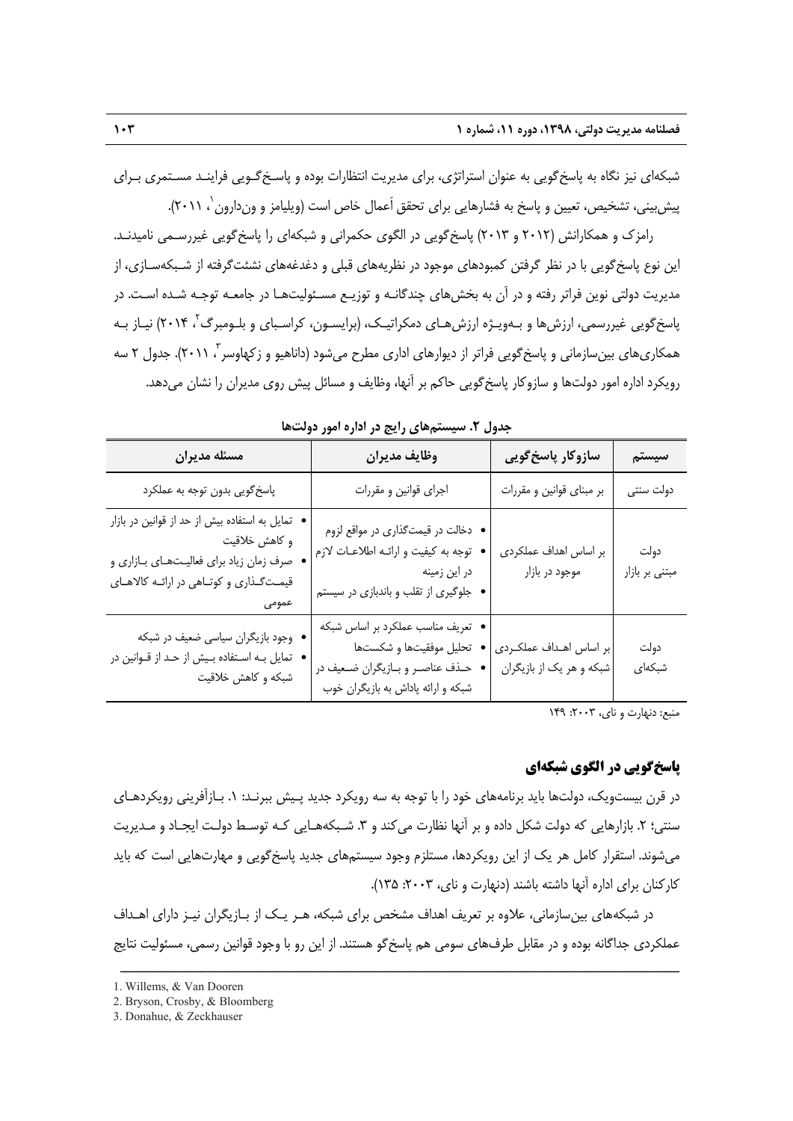شبكهاي نيز نگاه به پاسخگويي به عنوان استراتژي، براي مديريت انتظارات بوده و پاسـخگـويي فراينـد مسـتمري بـراي پيشبيي، تشخيص، تعيين و پاسخ به فشارهايي براي تحقق اَعمال خاص است (ويليامز و وندارون`، ٢٠١١).

رامزك و همكارانش (2012 و 2013) پاسخگويي در الگوي حكمراني و شبكهاي را پاسخگويي غيررسـمي ناميدنـد. اين نوع پاسخگويي با در نظر گرفتن كمبودهاي موجود در نظريههاي قبلي و دغدغههاي نشئتگرفته از شـبكهسـازي، از مديريت دولتي نوين فراتر رفته و در آن به بخشهاي چندگانـه و توزيـع مسـئوليتهـا در جامعـه توجـه شـده اسـت. در پاسخگويي غيررسمي، ارزش@ا و بـهويـژه ارزش@اي دمكراتيـك، (برايسـون، كراسـباي و بلـومبرگ<sup>۲</sup>، ۲۰۱۴) نيـاز بـه همكارىهاى بينسازمانى و پاسخگويى فراتر از ديوارهاى ادارى مطرح مىشود (داناهيو و زكهاوسر <sup>۳</sup>، ۲۰۱۱). جدول ۲ سه رويكرد اداره امور دولتها و سازوكار پاسخگويي حاكم بر آنها، وظايف و مسائل پيش روي مديران را نشان ميدهد.

| جغون کی مسیستم است که استاد مسرور خود                                                                                                                     |                                                                                                                                          |                                                     |                        |  |  |  |
|-----------------------------------------------------------------------------------------------------------------------------------------------------------|------------------------------------------------------------------------------------------------------------------------------------------|-----------------------------------------------------|------------------------|--|--|--|
| مسئله مديران                                                                                                                                              | وظايف مديران                                                                                                                             | سازوکار پاسخ گویی                                   | سيستم                  |  |  |  |
| پاسخگويي بدون توجه به عملكرد                                                                                                                              | اجرای قوانین و مقررات                                                                                                                    | بر مبنای قوانین و مقررات                            | دولت سنتى              |  |  |  |
| تمایل به استفاده بیش از حد از قوانین در بازار<br>و كاهش خلاقيت<br>صرف زمان زیاد برای فعالیتهای بازاری و<br>قیمتگذاری و کوتاهی در ارائـه کالاهـای<br>عمومى | • دخالت در قیمتگذاری در مواقع لزوم<br>توجه به كيفيت و ارائـه اطلاعـات لازم<br>در این زمینه<br>• جلوگیری از تقلب و باندبازی در سیستم      | بر اساس اهداف عملكردى<br>موجود در بازار             | دولت<br>مبتنی بر بازار |  |  |  |
| • وجود بازیگران سیاسی ضعیف در شبکه<br>تمایل بـه اسـتفاده بـیش از حـد از قـوانین در<br>شبکه و کاهش خلاقیت                                                  | • تعریف مناسب عملکرد بر اساس شبکه<br>تحليل موفقيتها و شكستها<br>حـذف عناصـر و بــازيگران ضــعيف در<br>شبکه و ارائه پاداش به بازیگران خوب | بر اساس اهـداف عملكـردى<br>شبکه و هر یک از بازیگران | دولت<br>شبكەاي         |  |  |  |

**جدول .2 سيستمهاي رايج در اداره امور دولتها** 

منبع: دنهارت و ناي، ٢٠٠٣: ١۴٩

#### **پاسخگويي در الگوي شبكهاي**

در قرن بيستويك، دولتها بايد برنامههاي خود را با توجه به سه رويكرد جديد پـيش ببرنـد: .1 بـازآفريني رويكردهـاي سنتي؛ ٢. بازارهايي كه دولت شكل داده و بر آنها نظارت مي كند و ٣. شـبكههـايي كـه توسـط دولـت ايجـاد و مـديريت ميشوند. استقرار كامل هر يك از اين رويكردها، مستلزم وجود سيستمهاي جديد پاسخگويي و مهارتهايي است كه بايد كاركنان براي اداره آنها داشته باشند (دنهارت و ناي، ٢٠٠٣: ١٣۵).

در شبكههاي بينسازماني، علاوه بر تعريف اهداف مشخص براي شبكه، هـر يـك از بـازيگران نيـز داراي اهـداف عملكردي جداگانه بوده و در مقابل طرفهاي سومي هم پاسخگو هستند. از اين رو با وجود قوانين رسمي، مسئوليت نتايج

<sup>1.</sup> Willems, & Van Dooren

<sup>2.</sup> Bryson, Crosby, & Bloomberg

<sup>3.</sup> Donahue, & Zeckhauser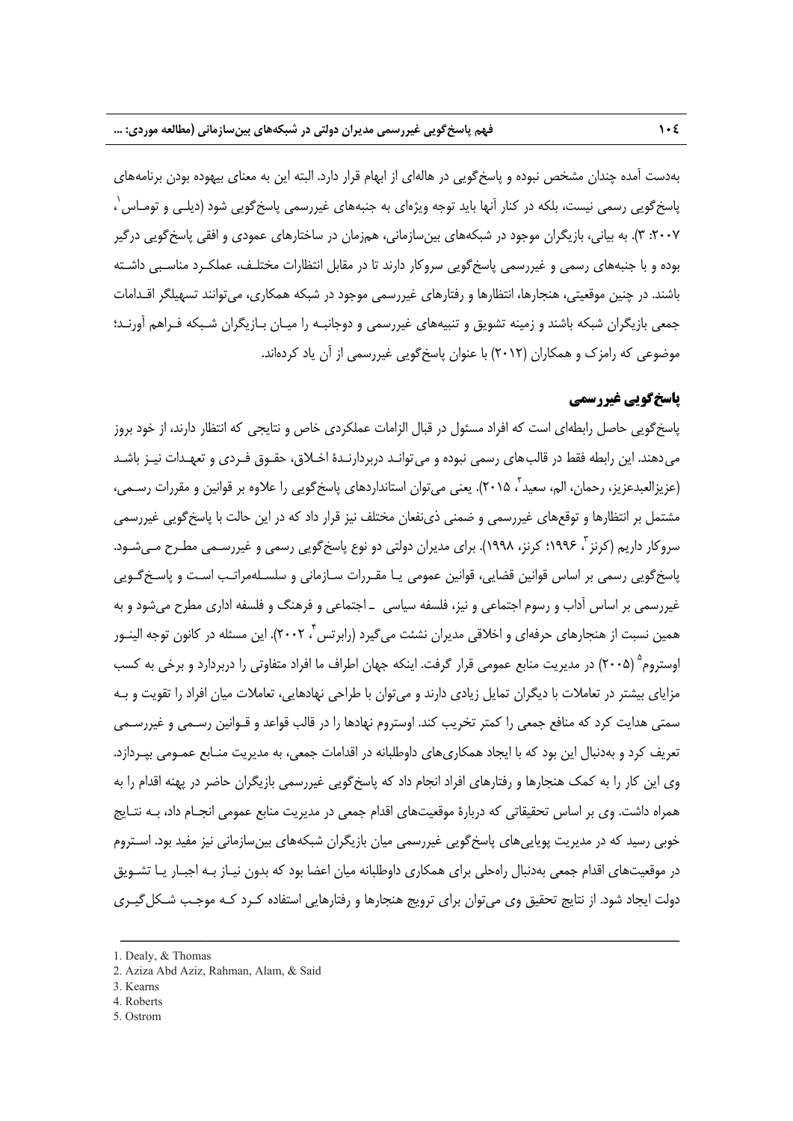بهدست آمده چندان مشخص نبوده و پاسخگويي در هالهاي از ابهام قرار دارد. البته اين به معناي بيهوده بودن برنامههاي باسخگويي رسمي نيست، بلكه در كنار آنها بايد توجه ويژهاى به جنبههاى غيررسمي پاسخگويي شود (ديلـي و تومـاس<sup>'</sup>، ، :2007 3). به بياني، بازيگران موجود در شبكههاي بينسازماني، همزمان در ساختارهاي عمودي و افقي پاسخگويي درگير بوده و با جنبههاي رسمي و غيررسمي پاسخگويي سروكار دارند تا در مقابل انتظارات مختلـف، عملكـرد مناسـبي داشـته باشند. در چنين موقعيتي، هنجارها، انتظارها و رفتارهاي غيررسمي موجود در شبكه همكاري، ميتوانند تسهيلگر اقـدامات جمعي بازيگران شبكه باشند و زمينه تشويق و تنبيههاي غيررسمي و دوجانبـه را ميـان بـازيگران شـبكه فـراهم آورنـد؛ موضوعي كه رامزك و همكاران (2012) با عنوان پاسخگويي غيررسمي از آن ياد كردهاند.

## **پاسخگويي غيررسمي**

پاسخگويي حاصل رابطهاي است كه افراد مسئول در قبال الزامات عملكردي خاص و نتايجي كه انتظار دارند، از خود بروز ميدهند. اين رابطه فقط در قالبهاي رسمي نبوده و ميتوانـد دربردارنـدة اخـلاق، حقـوق فـردي و تعهـدات نيـز باشـد (عزيزالعبدعزيز، رحمان، الم، سعيد `، ٢٠١۵). يعني ميتوان استانداردهاي پاسخگويي را علاوه بر قوانين و مقررات رسـمي، مشتمل بر انتظارها و توقعهاي غيررسمي و ضمني ذينفعان مختلف نيز قرار داد كه در اين حالت با پاسخگويي غيررسمي سروكار داريم (كرنز <sup>7</sup>، 199۶؛ كرنز، ۱۹۹۸). براي مديران دولتي دو نوع پاسخ گويي رسمي و غيررسـمي مطـرح مـي شـود. پاسخگويي رسمي بر اساس قوانين قضايي، قوانين عمومي يـا مقـررات سـازماني و سلسـلهمراتـب اسـت و پاسـخگـويي غيررسمي بر اساس آداب و رسوم اجتماعي و نيز، فلسفه سياسي ـ اجتماعي و فرهنگ و فلسفه اداري مطرح ميشود و به همين نسبت از هنجارهای حرفهای و اخلاقی مديران نشئت میگيرد (رابرتس ٌ، ٢٠٠٢). اين مسئله در كانون توجه الينـور اوستروم<sup>ه</sup> (٢٠٠۵) در مديريت منابع عمومي قرار گرفت. اينكه جهان اطراف ما افراد متفاوتي را دربردارد و برخي به كسب مزاياي بيشتر در تعاملات با ديگران تمايل زيادي دارند و ميتوان با طراحي نهادهايي، تعاملات ميان افراد را تقويت و بـه سمتي هدايت كرد كه منافع جمعي را كمتر تخريب كند. اوستروم نهادها را در قالب قواعد و قـوانين رسـمي و غيررسـمي تعريف كرد و بهدنبال اين بود كه با ايجاد همكاريهاي داوطلبانه در اقدامات جمعي، به مديريت منـابع عمـومي بپـردازد. وي اين كار را به كمك هنجارها و رفتارهاي افراد انجام داد كه پاسخگويي غيررسمي بازيگران حاضر در پهنه اقدام را به همراه داشت. وي بر اساس تحقيقاتي كه دربارة موقعيتهاي اقدام جمعي در مديريت منابع عمومي انجـام داد، بـه نتـايج خوبي رسيد كه در مديريت پوياييهاي پاسخگويي غيررسمي ميان بازيگران شبكههاي بينسازماني نيز مفيد بود. اسـتروم در موقعيتهاي اقدام جمعي بهدنبال راهحلي براي همكاري داوطلبانه ميان اعضا بود كه بدون نيـاز بـه اجبـار يـا تشـويق دولت ايجاد شود. از نتايج تحقيق وي ميتوان براي ترويج هنجارها و رفتارهايي استفاده كـرد كـه موجـب شـكلگيـري

- 2. Aziza Abd Aziz, Rahman, Alam, & Said
- 3. Kearns
- 4. Roberts
- 5. Ostrom

<sup>1.</sup> Dealy, & Thomas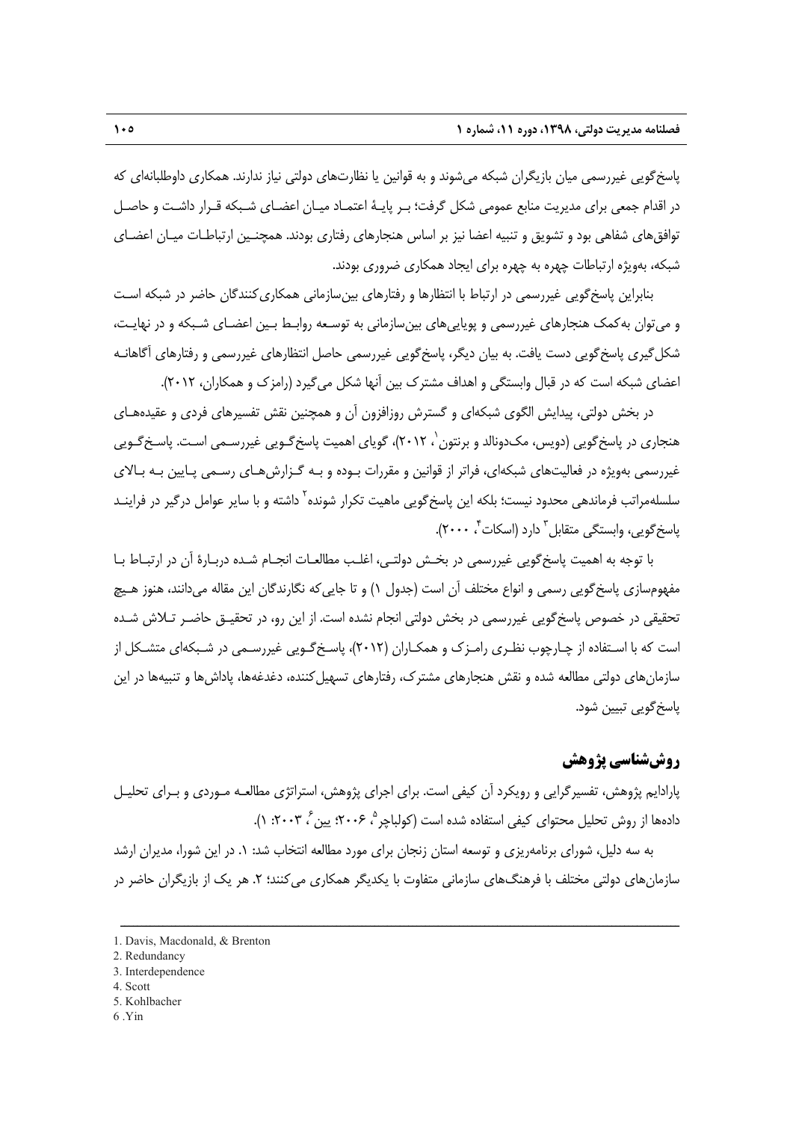پاسخگويي غيررسمي ميان بازيگران شبكه ميشوند و به قوانين يا نظارتهاي دولتي نياز ندارند. همكاري داوطلبانهاي كه در اقدام جمعي براي مديريت منابع عمومي شكل گرفت؛ بـر پايـة اعتمـاد ميـان اعضـاي شـبكه قـرار داشـت و حاصـل توافقهاي شفاهي بود و تشويق و تنبيه اعضا نيز بر اساس هنجارهاي رفتاري بودند. همچنـين ارتباطـات ميـان اعضـاي شبكه، بهويژه ارتباطات چهره به چهره براي ايجاد همكاري ضروري بودند.

بنابراين پاسخگويي غيررسمي در ارتباط با انتظارها و رفتارهاي بينسازماني همكاريكنندگان حاضر در شبكه اسـت و ميتوان بهكمك هنجارهاي غيررسمي و پوياييهاي بينسازماني به توسـعه روابـط بـين اعضـاي شـبكه و در نهايـت، شكلگيري پاسخگويي دست يافت. به بيان ديگر، پاسخگويي غيررسمي حاصل انتظارهاي غيررسمي و رفتارهاي آگاهانـه اعضاي شبكه است كه در قبال وابستگي و اهداف مشترك بين آنها شكل ميگيرد (رامزك و همكاران، 2012).

در بخش دولتي، پيدايش الگوي شبكهاي و گسترش روزافزون آن و همچنين نقش تفسيرهاي فردي و عقيدههـاي هنجاری در پاسخ گويی (دويس، مک<code>دونالد</code> و برنتون `، ۲۰۱۲)، گويای اهميت پاسخ گـويی غيررسـمی اسـت. پاسـخ گـويی غيررسمي بهويژه در فعاليتهاي شبكهاي، فراتر از قوانين و مقررات بـوده و بـه گـزارشهـاي رسـمي پـايين بـه بـالاي سلسلهمراتب فرمانده<sub>ی</sub> محدود نیست؛ بلکه این پاسخ گویی ماهیت تکرار شونده<sup>۲</sup> داشته و با سایر عوامل درگیر در فراینــد یاسخ گویی، وابستگی متقابل<sup>۳</sup> دارد (اسکات<sup>۴</sup>، ۲۰۰۰).

با توجه به اهميت پاسخگويي غيررسمي در بخـش دولتـي، اغلـب مطالعـات انجـام شـده دربـارة آن در ارتبـاط بـا مفهومسازي پاسخگويي رسمي و انواع مختلف آن است (جدول 1) و تا جاييكه نگارندگان اين مقاله ميدانند، هنوز هـيچ تحقيقي در خصوص پاسخگويي غيررسمي در بخش دولتي انجام نشده است. از اين رو، در تحقيـق حاضـر تـلاش شـده است كه با اسـتفاده از چـارچوب نظـري رامـزك و همكـاران (2012)، پاسـخگـويي غيررسـمي در شـبكهاي متشـكل از سازمانهاي دولتي مطالعه شده و نقش هنجارهاي مشترك، رفتارهاي تسهيلكننده، دغدغهها، پاداشها و تنبيهها در اين پاسخگويي تبيين شود.

## **روششناسي پژوهش**

پارادايم پژوهش، تفسيرگرايي و رويكرد آن كيفي است. براي اجراي پژوهش، استراتژي مطالعـه مـوردي و بـراي تحليـل دادهها از روش تحليل محتواي كيفي استفاده شده است (كولباچر °، ۲۰۰۶: پين ً، ۲۰۰۳: ۱).

به سه دليل، شوراي برنامهريزي و توسعه استان زنجان براي مورد مطالعه انتخاب شد: .1 در اين شورا، مديران ارشد سازمانهاي دولتي مختلف با فرهنگهاي سازماني متفاوت با يكديگر همكاري ميكنند؛ ۲. هر يک از بازيگران حاضر در

- 4. Scott
- 5. Kohlbacher
- 6 .Yin

<sup>1.</sup> Davis, Macdonald, & Brenton

<sup>2.</sup> Redundancy

<sup>3.</sup> Interdependence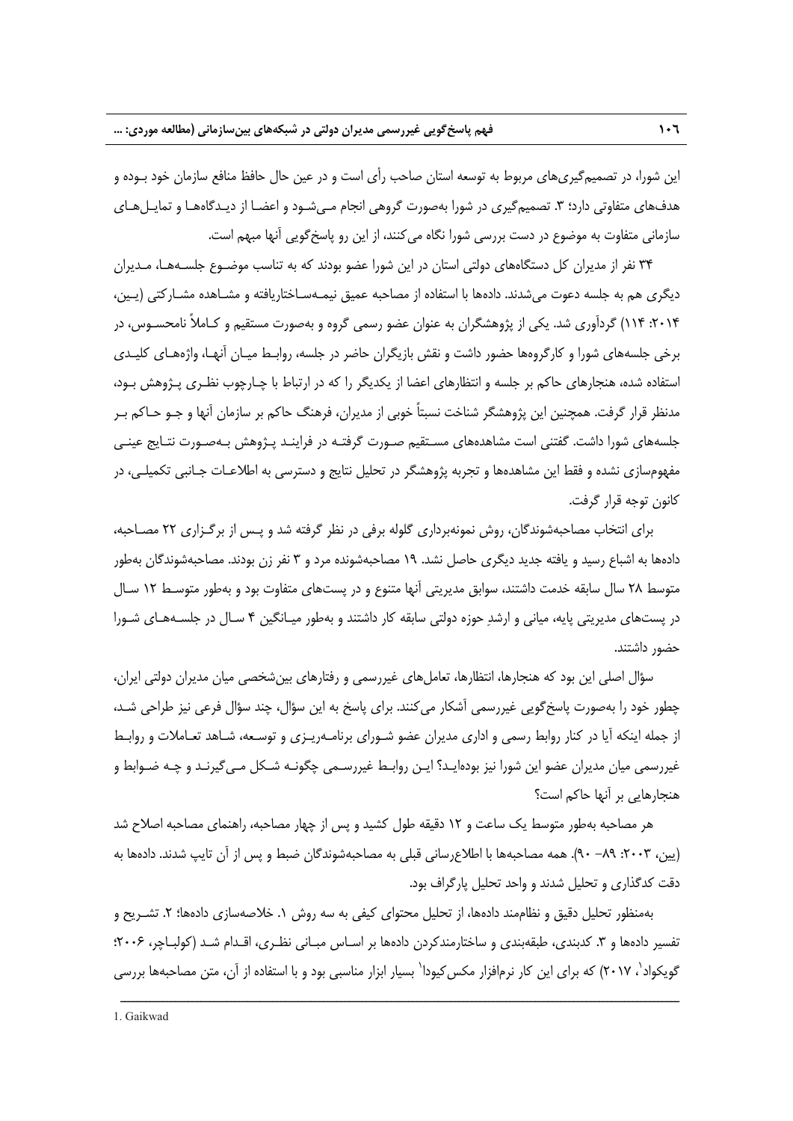اين شورا، در تصميمگيريهاي مربوط به توسعه استان صاحب رأي است و در عين حال حافظ منافع سازمان خود بـوده و هدفهاي متفاوتي دارد؛ ٣. تصميم گيري در شورا بهصورت گروهي انجام مـيشـود و اعضـا از ديـدگاههـا و تمايـلهـاي سازماني متفاوت به موضوع در دست بررسي شورا نگاه ميكنند، از اين رو پاسخگويي آنها مبهم است.

34 نفر از مديران كل دستگاههاي دولتي استان در اين شورا عضو بودند كه به تناسب موضـوع جلسـههـا، مـديران ديگري هم به جلسه دعوت ميشدند. دادهها با استفاده از مصاحبه عميق نيمـهسـاختاريافته و مشـاهده مشـاركتي (يـين، :2014 114) گردآوري شد. يكي از پژوهشگران به عنوان عضو رسمي گروه و بهصورت مستقيم و كـاملاً نامحسـوس، در برخي جلسههاي شورا و كارگروهها حضور داشت و نقش بازيگران حاضر در جلسه، روابـط ميـان آنهـا، واژههـاي كليـدي استفاده شده، هنجارهاي حاكم بر جلسه و انتظارهاي اعضا از يكديگر را كه در ارتباط با چـارچوب نظـري پـژوهش بـود، مدنظر قرار گرفت. همچنين اين پژوهشگر شناخت نسبتاً خوبي از مديران، فرهنگ حاكم بر سازمان آنها و جـو حـاكم بـر جلسههاي شورا داشت. گفتني است مشاهدههاي مسـتقيم صـورت گرفتـه در فراينـد پـژوهش بـهصـورت نتـايج عينـي مفهومسازي نشده و فقط اين مشاهدهها و تجربه پژوهشگر در تحليل نتايج و دسترسي به اطلاعـات جـانبي تكميلـي، در كانون توجه قرار گرفت.

براي انتخاب مصاحبهشوندگان، روش نمونهبرداري گلوله برفي در نظر گرفته شد و پـس از برگـزاري 22 مصـاحبه، دادهها به اشباع رسيد و يافته جديد ديگري حاصل نشد. 19 مصاحبهشونده مرد و 3 نفر زن بودند. مصاحبهشوندگان بهطور متوسط 28 سال سابقه خدمت داشتند، سوابق مديريتي آنها متنوع و در پستهاي متفاوت بود و بهطور متوسـط 12 سـال در پستهاي مديريتي پايه، مياني و ارشد حوزه دولتي سابقه كار داشتند و بهطور ميـانگين 4 سـال در جلسـههـاي شـورا حضور داشتند.

سؤال اصلي اين بود كه هنجارها، انتظارها، تعاملهاي غيررسمي و رفتارهاي بينشخصي ميان مديران دولتي ايران، چطور خود را بهصورت پاسخگويي غيررسمي آشكار ميكنند. براي پاسخ به اين سؤال، چند سؤال فرعي نيز طراحي شـد، از جمله اينكه آيا در كنار روابط رسمي و اداري مديران عضو شـوراي برنامـهريـزي و توسـعه، شـاهد تعـاملات و روابـط غيررسمي ميان مديران عضو اين شورا نيز بودهايـد؟ ايـن روابـط غيررسـمي چگونـه شـكل مـيگيرنـد و چـه ضـوابط و هنجارهايي بر آنها حاكم است؟

هر مصاحبه بهطور متوسط يك ساعت و 12 دقيقه طول كشيد و پس از چهار مصاحبه، راهنماي مصاحبه اصلاح شد (يين، ٢٠٠٣: ٨٩- ٩٠). همه مصاحبهها با اطلاع رساني قبلي به مصاحبهشوندگان ضبط و پس از آن تايپ شدند. دادهها به دقت كدگذاري و تحليل شدند و واحد تحليل پارگراف بود.

بهمنظور تحليل دقيق و نظاممند دادهها، از تحليل محتواي كيفي به سه روش ١. خلاصهسازي دادهها؛ ٢. تشـريح و تفسير دادهها و ٣. كدبندي، طبقهبندي و ساختارمندكردن دادهها بر اسـاس مبـاني نظـري، اقـدام شـد (كولبـاچر، ٢٠٠۶؛ گویکواد<sup>'</sup>، ۲۰۱۷) که برای این کار نرمافزار مکس¢یودا<sup>\</sup> بسیار ابزار مناسبی بود و با استفاده از آن، متن مصاحبهها بررسی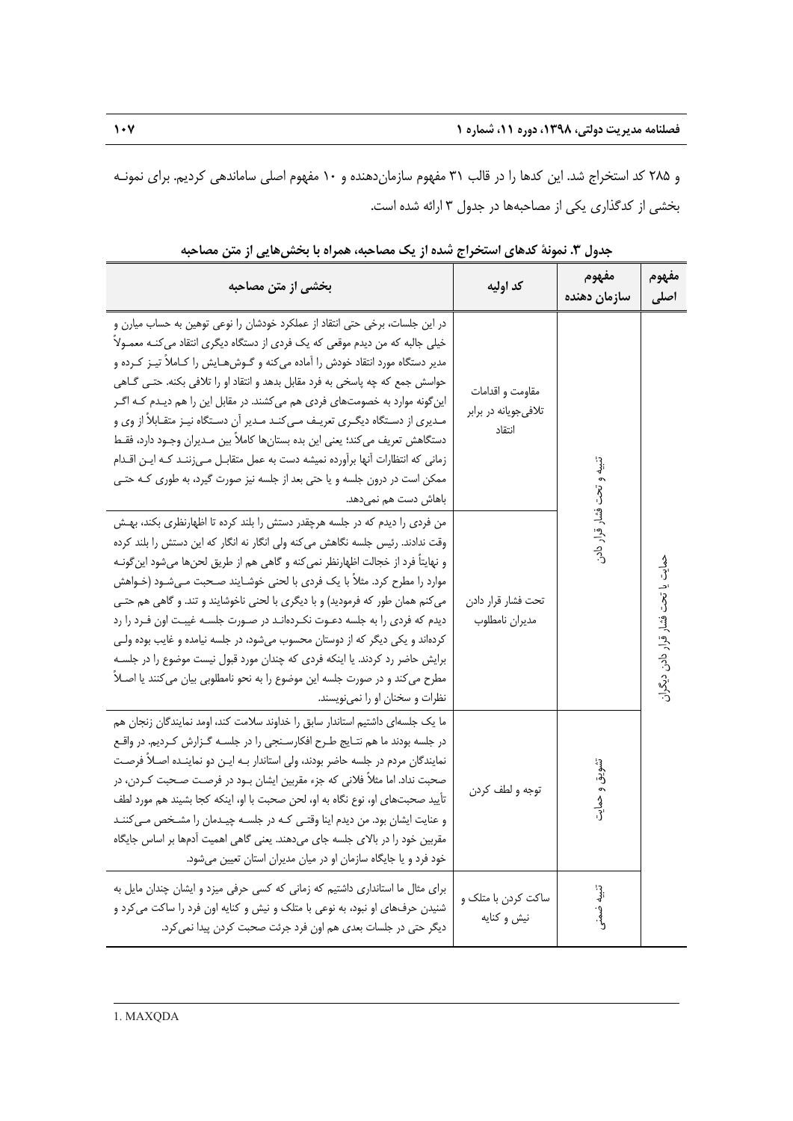و 285 كد استخراج شد. اين كدها را در قالب 31 مفهوم سازماندهنده و 10 مفهوم اصلي ساماندهي كرديم. براي نمونـه بخشي از كدگذاري يكي از مصاحبهها در جدول 3 ارائه شده است.

| بخشی از متن مصاحبه                                                                                                                                                                                                                                                                                                                                                                                                                                                                                                                                                                                                                                                                                                                                                                  | كد اوليه                                            | مفهوم<br>سازمان دهنده      | مفهوم<br>اصلى                     |
|-------------------------------------------------------------------------------------------------------------------------------------------------------------------------------------------------------------------------------------------------------------------------------------------------------------------------------------------------------------------------------------------------------------------------------------------------------------------------------------------------------------------------------------------------------------------------------------------------------------------------------------------------------------------------------------------------------------------------------------------------------------------------------------|-----------------------------------------------------|----------------------------|-----------------------------------|
| در این جلسات، برخی حتی انتقاد از عملکرد خودشان را نوعی توهین به حساب میارن و<br>خیلی جالبه که من دیدم موقعی که یک فردی از دستگاه دیگری انتقاد می کنـه معمـولاً<br>مدیر دستگاه مورد انتقاد خودش را آماده میکنه و گـوش@ایش را کـاملاً تیـز کـرده و<br>حواسش جمع كه چه پاسخى به فرد مقابل بدهد و انتقاد او را تلافى بكنه. حتـى گــاهى<br>این گونه موارد به خصومتهای فردی هم میکشند. در مقابل این را هم دیـدم کـه اگـر<br>مـدیری از دسـتگاه دیگـری تعریـف مـیکنـد مـدیر آن دسـتگاه نیـز متقـابلاً از وی و<br>دستگاهش تعریف می کند؛ یعنی این بده بستانها کاملاً بین مـدیران وجـود دارد، فقـط<br>زمانی که انتظارات آنها برآورده نمیشه دست به عمل متقابـل مـی;ننـد کـه ایـن اقـدام<br>ممکن است در درون جلسه و یا حتی بعد از جلسه نیز صورت گیرد، به طوری کـه حتـی<br>باهاش دست هم نمیدهد.   | مقاومت و اقدامات<br>تلافی جویانه در برابر<br>انتقاد | تنبيه و تحت فشار قرار دادر | حمایت یا تحت فشار قرار دادن دیگرا |
| من فردی را دیدم که در جلسه هرچقدر دستش را بلند کرده تا اظهارنظری بکند، بهـش<br>وقت ندادند. رئیس جلسه نگاهش می کنه ولی انگار نه انگار که این دستش را بلند کرده<br>و نهايتاً فرد از خجالت اظهارنظر نمي كنه و گاهي هم از طريق لحنها ميشود اين گونـه<br>موارد را مطرح کرد. مثلاً با یک فردی با لحنی خوشـایند صـحبت مـیشـود (خـواهش<br>می کنم همان طور که فرمودید) و با دیگری با لحنی ناخوشایند و تند. و گاهی هم حتبی<br>دیدم که فردی را به جلسه دعـوت نکـردهانـد در صـورت جلسـه غیبـت اون فـرد را رد<br>کردهاند و یکی دیگر که از دوستان محسوب میشود، در جلسه نیامده و غایب بوده ولی<br>برایش حاضر رد کردند. یا اینکه فردی که چندان مورد قبول نیست موضوع را در جلسه<br>مطرح می کند و در صورت جلسه این موضوع را به نحو نامطلوبی بیان می کنند یا اصـلاً<br>نظرات و سخنان او را نمی نویسند. | تحت فشار قرار دادن<br>مديران نامطلوب                |                            |                                   |
| ما یک جلسهای داشتیم استاندار سابق را خداوند سلامت کند، اومد نمایندگان زنجان هم<br>در جلسه بودند ما هم نتـايج طـرح افكارسـنجى را در جلسـه گـزارش كـرديم. در واقـع<br>نمایندگان مردم در جلسه حاضر بودند، ولی استاندار بـه ایـن دو نماینـده اصـلاً فرصـت<br>صحبت نداد. اما مثلاً فلانی که جزء مقربین ایشان بـود در فرصـت صـحبت کـردن، در<br>تأييد صحبتهاى او، نوع نگاه به او، لحن صحبت با او، اينكه كجا بشيند هم مورد لطف<br>و عنایت ایشان بود. من دیدم اینا وقتـی کـه در جلسـه چیـدمان را مشـخص مـی کننـد<br>مقربین خود را در بالای جلسه جای میدهند. یعنی گاهی اهمیت آدمها بر اساس جایگاه<br>خود فرد و یا جایگاه سازمان او در میان مدیران استان تعیین میشود.                                                                                                                          | توجه و لطف كردن                                     | تشويق و حمايت              |                                   |
| برای مثال ما استانداری داشتیم که زمانی که کسی حرفی میزد و ایشان چندان مایل به<br>شنیدن حرفهای او نبود، به نوعی با متلک و نیش و کنایه اون فرد را ساکت می کرد و<br>دیگر حتی در جلسات بعدی هم اون فرد جرئت صحبت کردن پیدا نمی کرد.                                                                                                                                                                                                                                                                                                                                                                                                                                                                                                                                                     | ساکت کردن با متلک و<br>نيش وكنايه                   | تنبيه ضمنر                 |                                   |

**جدول .3 نمونة كدهاي استخراج شده از يك مصاحبه، همراه با بخشهايي از متن مصاحبه**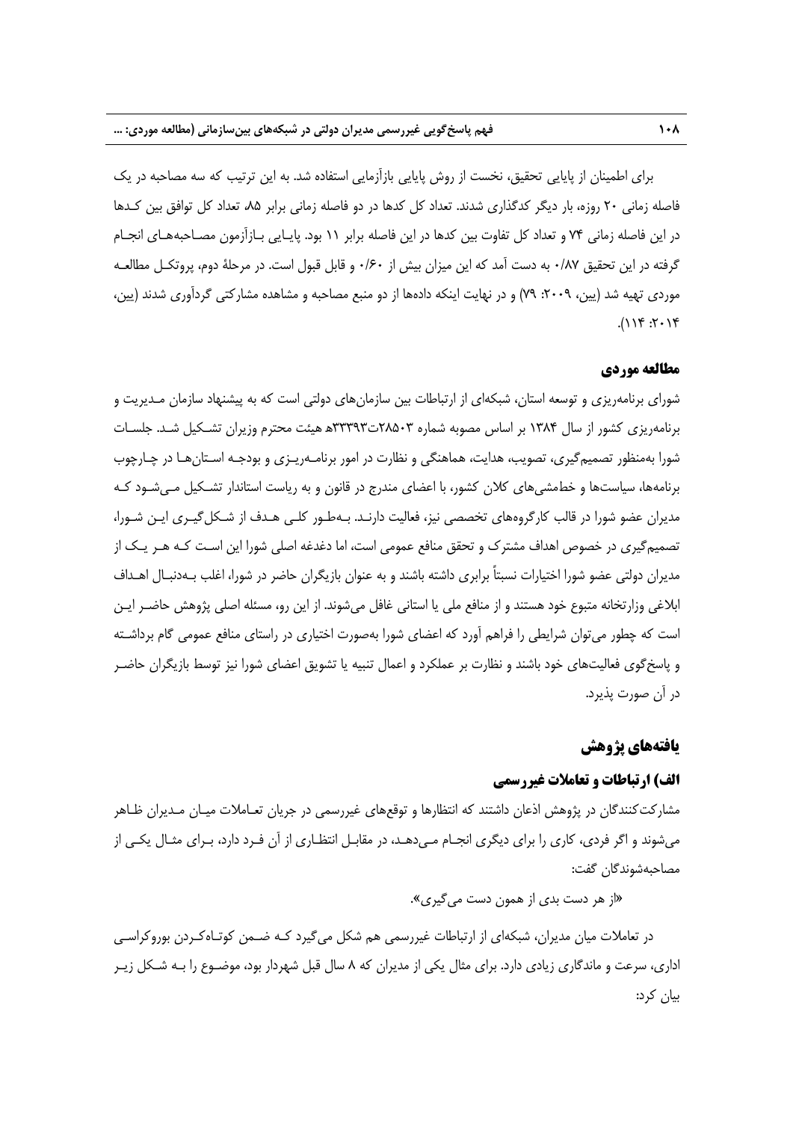براي اطمينان از پايايي تحقيق، نخست از روش پايايي بازآزمايي استفاده شد. به اين ترتيب كه سه مصاحبه در يك فاصله زماني 20 روزه، بار ديگر كدگذاري شدند. تعداد كل كدها در دو فاصله زماني برابر ،85 تعداد كل توافق بين كـدها در اين فاصله زماني 74 و تعداد كل تفاوت بين كدها در اين فاصله برابر 11 بود. پايـايي بـازآزمون مصـاحبههـاي انجـام گرفته در اين تحقيق 0/87 به دست آمد كه اين ميزان بيش از 0/60 و قابل قبول است. در مرحلة دوم، پروتكـل مطالعـه موردي تهيه شد (يين، ٢٠٠٩: ٧٩) و در نهايت اينكه دادهها از دو منبع مصاحبه و مشاهده مشاركتي گردآوري شدند (يين،  $71.71$ :  $711$ ).

#### **مطالعه موردي**

شوراي برنامهريزي و توسعه استان، شبكهاي از ارتباطات بين سازمانهاي دولتي است كه به پيشنهاد سازمان مـديريت و برنامهريزي كشور از سال 1384 بر اساس مصوبه شماره 28503ت33393 ه هيئت محترم وزيران تشـكيل شـد. جلسـات شورا بهمنظور تصميمگيري، تصويب، هدايت، هماهنگي و نظارت در امور برنامـهريـزي و بودجـه اسـتانهـا در چـارچوب برنامهها، سياستها و خطمشيهاي كلان كشور، با اعضاي مندرج در قانون و به رياست استاندار تشـكيل مـيشـود كـه مديران عضو شورا در قالب كارگروههاي تخصصي نيز، فعاليت دارنـد. بـهطـور كلـي هـدف از شـكلگيـري ايـن شـورا، تصميمگيري در خصوص اهداف مشترك و تحقق منافع عمومي است، اما دغدغه اصلي شورا اين اسـت كـه هـر يـك از مديران دولتي عضو شورا اختيارات نسبتاً برابري داشته باشند و به عنوان بازيگران حاضر در شورا، اغلب بـهدنبـال اهـداف ابلاغي وزارتخانه متبوع خود هستند و از منافع ملي يا استاني غافل ميشوند. از اين رو، مسئله اصلي پژوهش حاضـر ايـن است كه چطور ميتوان شرايطي را فراهم آورد كه اعضاي شورا بهصورت اختياري در راستاي منافع عمومي گام برداشـته و پاسخگوي فعاليتهاي خود باشند و نظارت بر عملكرد و اعمال تنبيه يا تشويق اعضاي شورا نيز توسط بازيگران حاضـر در آن صورت پذيرد.

#### **يافتههاي پژوهش**

## **الف) ارتباطات و تعاملات غيررسمي**

مشاركتكنندگان در پژوهش اذعان داشتند كه انتظارها و توقعهاي غيررسمي در جريان تعـاملات ميـان مـديران ظـاهر ميشوند و اگر فردي، كاري را براي ديگري انجـام مـيدهـد، در مقابـل انتظـاري از آن فـرد دارد، بـراي مثـال يكـي از مصاحبهشوندگان گفت:

«از هر دست بدي از همون دست ميگيري».

در تعاملات ميان مديران، شبكهاي از ارتباطات غيررسمي هم شكل ميگيرد كـه ضـمن كوتـاهكـردن بوروكراسـي اداري، سرعت و ماندگاري زيادي دارد. براي مثال يكي از مديران كه 8 سال قبل شهردار بود، موضـوع را بـه شـكل زيـر بيان كرد: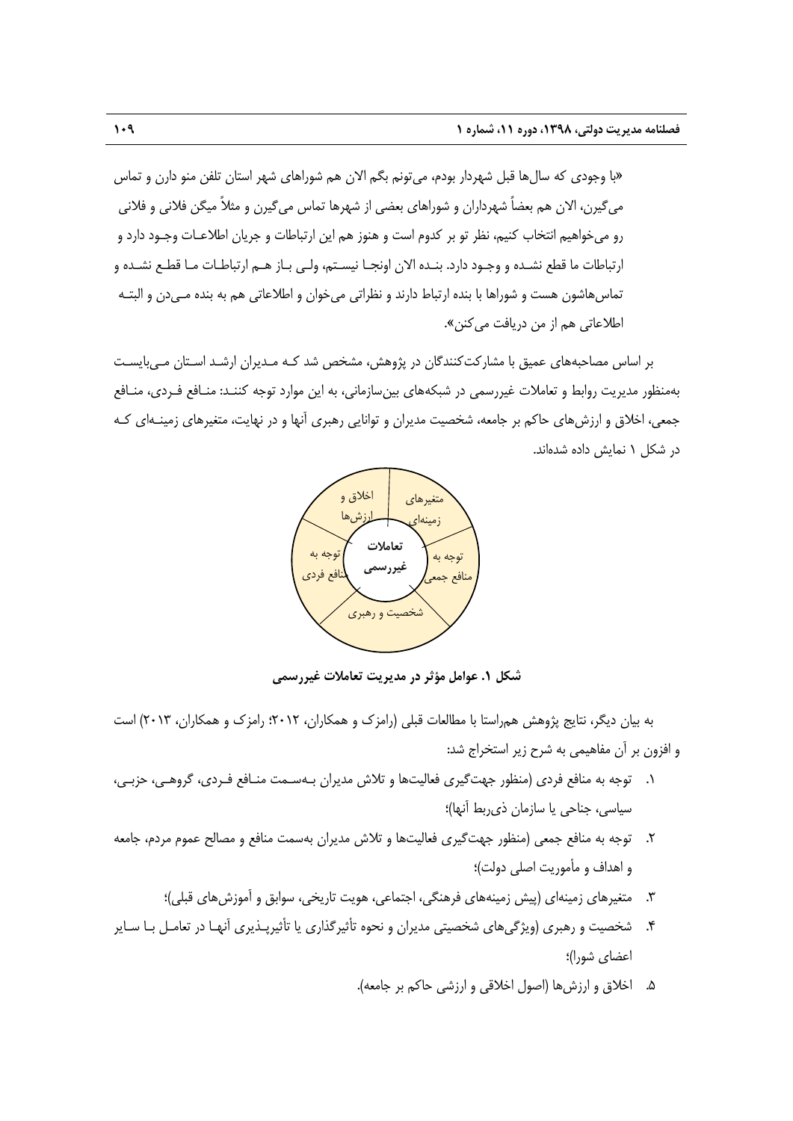«با وجودي كه سالها قبل شهردار بودم، ميتونم بگم الان هم شوراهاي شهر استان تلفن منو دارن و تماس ميگيرن، الان هم بعضاً شهرداران و شوراهاي بعضي از شهرها تماس ميگيرن و مثلاً ميگن فلاني و فلاني رو ميخواهيم انتخاب كنيم، نظر تو بر كدوم است و هنوز هم اين ارتباطات و جريان اطلاعـات وجـود دارد و ارتباطات ما قطع نشـده و وجـود دارد. بنـده الان اونجـا نيسـتم، ولـي بـاز هـم ارتباطـات مـا قطـع نشـده و تماسهاشون هست و شوراها با بنده ارتباط دارند و نظراتي ميخوان و اطلاعاتي هم به بنده مـيدن و البتـه اطلاعاتي هم از من دريافت مي *ك*نن».

بر اساس مصاحبههاي عميق با مشاركتكنندگان در پژوهش، مشخص شد كـه مـديران ارشـد اسـتان مـيبايسـت بهمنظور مديريت روابط و تعاملات غيررسمي در شبكههاي بينسازماني، به اين موارد توجه كننـد: منـافع فـردي، منـافع جمعي، اخلاق و ارزشهاي حاكم بر جامعه، شخصيت مديران و توانايي رهبري آنها و در نهايت، متغيرهاي زمينـهاي كـه در شكل 1 نمايش داده شدهاند.



**شكل .1 عوامل مؤثر در مديريت تعاملات غيررسمي** 

به بيان ديگر، نتايج پژوهش همراستا با مطالعات قبلي (رامزك و همكاران، 2012؛ رامزك و همكاران، 2013) است و افزون بر آن مفاهيمي به شرح زير استخراج شد:

- .1 توجه به منافع فردي (منظور جهتگيري فعاليتها و تلاش مديران بـهسـمت منـافع فـردي، گروهـي، حزبـي، سياسي، جناحي يا سازمان ذيربط آنها)؛
- .2 توجه به منافع جمعي (منظور جهتگيري فعاليتها و تلاش مديران بهسمت منافع و مصالح عموم مردم، جامعه و اهداف و مأموريت اصلي دولت)؛
	- .3 متغيرهاي زمينهاي (پيش زمينههاي فرهنگي، اجتماعي، هويت تاريخي، سوابق و آموزشهاي قبلي)؛
- .4 شخصيت و رهبري (ويژگيهاي شخصيتي مديران و نحوه تأثيرگذاري يا تأثيرپـذيري آنهـا در تعامـل بـا سـاير اعضاي شورا)؛
	- .5 اخلاق و ارزشها (اصول اخلاقي و ارزشي حاكم بر جامعه).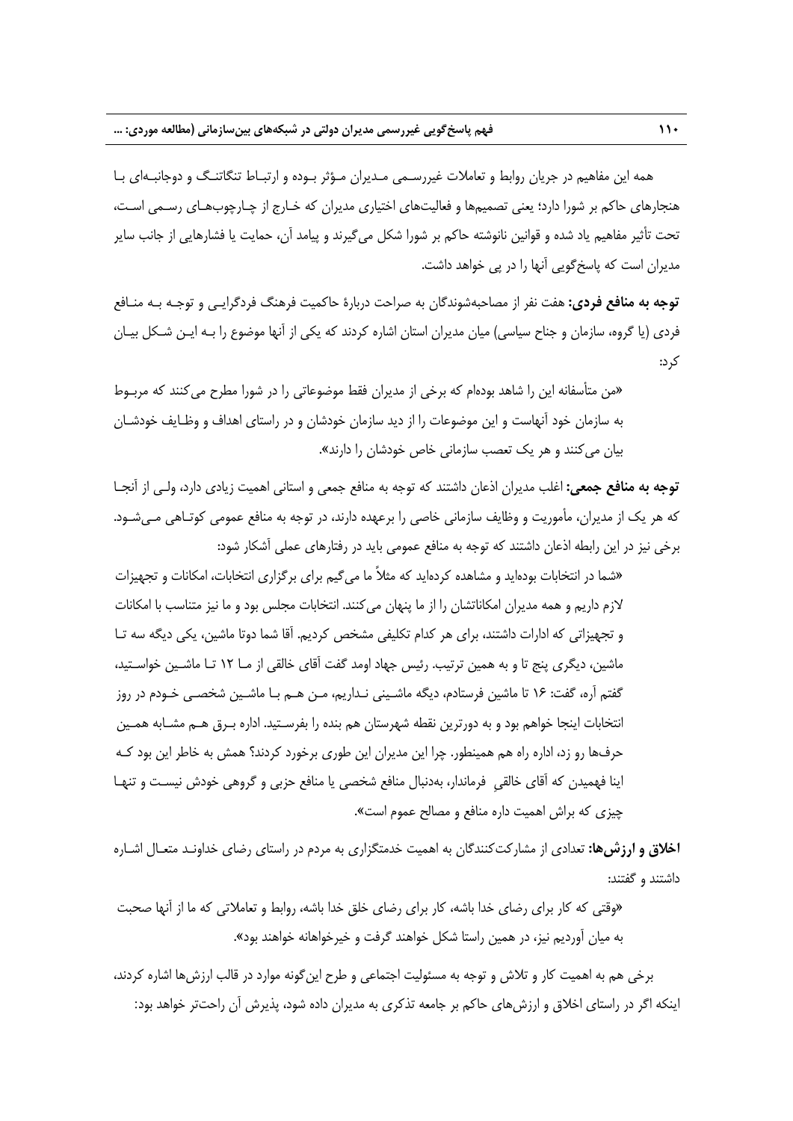همه اين مفاهيم در جريان روابط و تعاملات غيررسـمي مـديران مـؤثر بـوده و ارتبـاط تنگاتنـگ و دوجانبـهاي بـا هنجارهاي حاكم بر شورا دارد؛ يعني تصميمها و فعاليتهاي اختياري مديران كه خـارج از چـارچوبهـاي رسـمي اسـت، تحت تأثير مفاهيم ياد شده و قوانين نانوشته حاكم بر شورا شكل ميگيرند و پيامد آن، حمايت يا فشارهايي از جانب ساير مديران است كه پاسخگويي آنها را در پي خواهد داشت.

**توجه به منافع فردي:** هفت نفر از مصاحبهشوندگان به صراحت دربارة حاكميت فرهنگ فردگرايـي و توجـه بـه منـافع فردي (يا گروه، سازمان و جناح سياسي) ميان مديران استان اشاره كردند كه يكي از آنها موضوع را بـه ايـن شـكل بيـان كرد:

«من متأسفانه اين را شاهد بودهام كه برخي از مديران فقط موضوعاتي را در شورا مطرح ميكنند كه مربـوط به سازمان خود آنهاست و اين موضوعات را از ديد سازمان خودشان و در راستاي اهداف و وظـايف خودشـان بيان ميكنند و هر يك تعصب سازماني خاص خودشان را دارند».

**توجه به منافع جمعي:** اغلب مديران اذعان داشتند كه توجه به منافع جمعي و استاني اهميت زيادي دارد، ولـي از آنجـا كه هر يك از مديران، مأموريت و وظايف سازماني خاصي را برعهده دارند، در توجه به منافع عمومي كوتـاهي مـيشـود. برخي نيز در اين رابطه اذعان داشتند كه توجه به منافع عمومي بايد در رفتارهاي عملي آشكار شود:

«شما در انتخابات بودهايد و مشاهده كردهايد كه مثلاً ما ميگيم براي برگزاري انتخابات، امكانات و تجهيزات لازم داريم و همه مديران امكاناتشان را از ما پنهان ميكنند. انتخابات مجلس بود و ما نيز متناسب با امكانات و تجهيزاتي كه ادارات داشتند، براي هر كدام تكليفي مشخص كرديم. آقا شما دوتا ماشين، يكي ديگه سه تـا ماشين، ديگري پنج تا و به همين ترتيب. رئيس جهاد اومد گفت آقاي خالقي از مـا 12 تـا ماشـين خواسـتيد، گفتم آره، گفت: 16 تا ماشين فرستادم، ديگه ماشـيني نـداريم، مـن هـم بـا ماشـين شخصـي خـودم در روز انتخابات اينجا خواهم بود و به دورترين نقطه شهرستان هم بنده را بفرسـتيد. اداره بـرق هـم مشـابه همـين حرفها رو زد، اداره راه هم همينطور. چرا اين مديران اين طوري برخورد كردند؟ همش به خاطر اين بود كـه اينا فهميدن كه آقاي خالقيِ فرماندار، بهدنبال منافع شخصي يا منافع حزبي و گروهي خودش نيسـت و تنهـا چيزي كه براش اهميت داره منافع و مصالح عموم است».

**اخلاق و ارزشها:** تعدادي از مشاركتكنندگان به اهميت خدمتگزاري به مردم در راستاي رضاي خداونـد متعـال اشـاره داشتند و گفتند:

«وقتي كه كار براي رضاي خدا باشه، كار براي رضاي خلق خدا باشه، روابط و تعاملاتي كه ما از آنها صحبت به ميان آورديم نيز، در همين راستا شكل خواهند گرفت و خيرخواهانه خواهند بود».

برخي هم به اهميت كار و تلاش و توجه به مسئوليت اجتماعي و طرح اينگونه موارد در قالب ارزشها اشاره كردند، اينكه اگر در راستاي اخلاق و ارزشهاي حاكم بر جامعه تذكري به مديران داده شود، پذيرش آن راحتتر خواهد بود: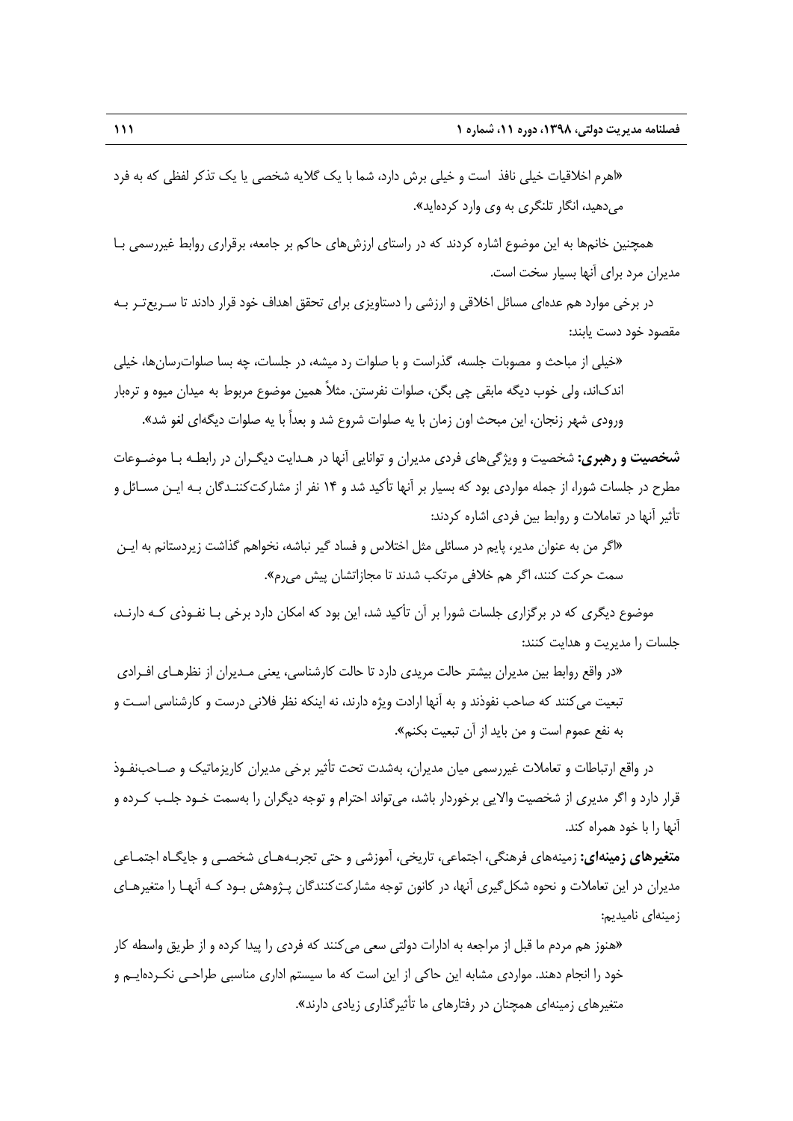«اهرم اخلاقيات خيلي نافذ است و خيلي برش دارد، شما با يك گلايه شخصي يا يك تذكر لفظي كه به فرد ميدهيد، انگار تلنگري به وي وارد كردهايد».

همچنين خانمها به اين موضوع اشاره كردند كه در راستاي ارزشهاي حاكم بر جامعه، برقراري روابط غيررسمي بـا مديران مرد براي آنها بسيار سخت است.

در برخي موارد هم عدهاي مسائل اخلاقي و ارزشي را دستاويزي براي تحقق اهداف خود قرار دادند تا سـريعتـر بـه مقصود خود دست يابند:

«خيلي از مباحث و مصوبات جلسه، گذراست و با صلوات رد ميشه، در جلسات، چه بسا صلواترسانها، خيلي اندكاند، ولي خوب ديگه مابقي چي بگن، صلوات نفرستن. مثلاً همين موضوع مربوط به ميدان ميوه و ترهبار ورودي شهر زنجان، اين مبحث اون زمان با يه صلوات شروع شد و بعداً با يه صلوات ديگهاي لغو شد».

**شخصيت و رهبري:** شخصيت و ويژگيهاي فردي مديران و توانايي آنها در هـدايت ديگـران در رابطـه بـا موضـوعات مطرح در جلسات شورا، از جمله مواردي بود كه بسيار بر آنها تأكيد شد و 14 نفر از مشاركتكننـدگان بـه ايـن مسـائل و تأثير آنها در تعاملات و روابط بين فردي اشاره كردند:

«اگر من به عنوان مدير، پايم در مسائلي مثل اختلاس و فساد گير نباشه، نخواهم گذاشت زيردستانم به ايـن سمت حركت كنند، اگر هم خلافي مرتكب شدند تا مجازاتشان پيش ميرم».

موضوع ديگري كه در برگزاري جلسات شورا بر آن تأكيد شد، اين بود كه امكان دارد برخي بـا نفـوذي كـه دارنـد، جلسات را مديريت و هدايت كنند:

«در واقع روابط بين مديران بيشتر حالت مريدي دارد تا حالت كارشناسي، يعني مـديران از نظرهـاي افـرادي تبعيت ميكنند كه صاحب نفوذند و به آنها ارادت ويژه دارند، نه اينكه نظر فلاني درست و كارشناسي اسـت و به نفع عموم است و من بايد از آن تبعيت بكنم».

در واقع ارتباطات و تعاملات غيررسمي ميان مديران، بهشدت تحت تأثير برخي مديران كاريزماتيك و صـاحبنفـوذ قرار دارد و اگر مديري از شخصيت والايي برخوردار باشد، ميتواند احترام و توجه ديگران را بهسمت خـود جلـب كـرده و آنها را با خود همراه كند.

**متغيرهاي زمينهاي:** زمينههاي فرهنگي، اجتماعي، تاريخي، آموزشي و حتي تجربـههـاي شخصـي و جايگـاه اجتمـاعي مديران در اين تعاملات و نحوه شكلگيري آنها، در كانون توجه مشاركتكنندگان پـژوهش بـود كـه آنهـا را متغيرهـاي زمينهاي ناميديم:

«هنوز هم مردم ما قبل از مراجعه به ادارات دولتي سعي ميكنند كه فردي را پيدا كرده و از طريق واسطه كار خود را انجام دهند. مواردي مشابه اين حاكي از اين است كه ما سيستم اداري مناسبي طراحـي نكـردهايـم و متغيرهاي زمينهاي همچنان در رفتارهاي ما تأثيرگذاري زيادي دارند».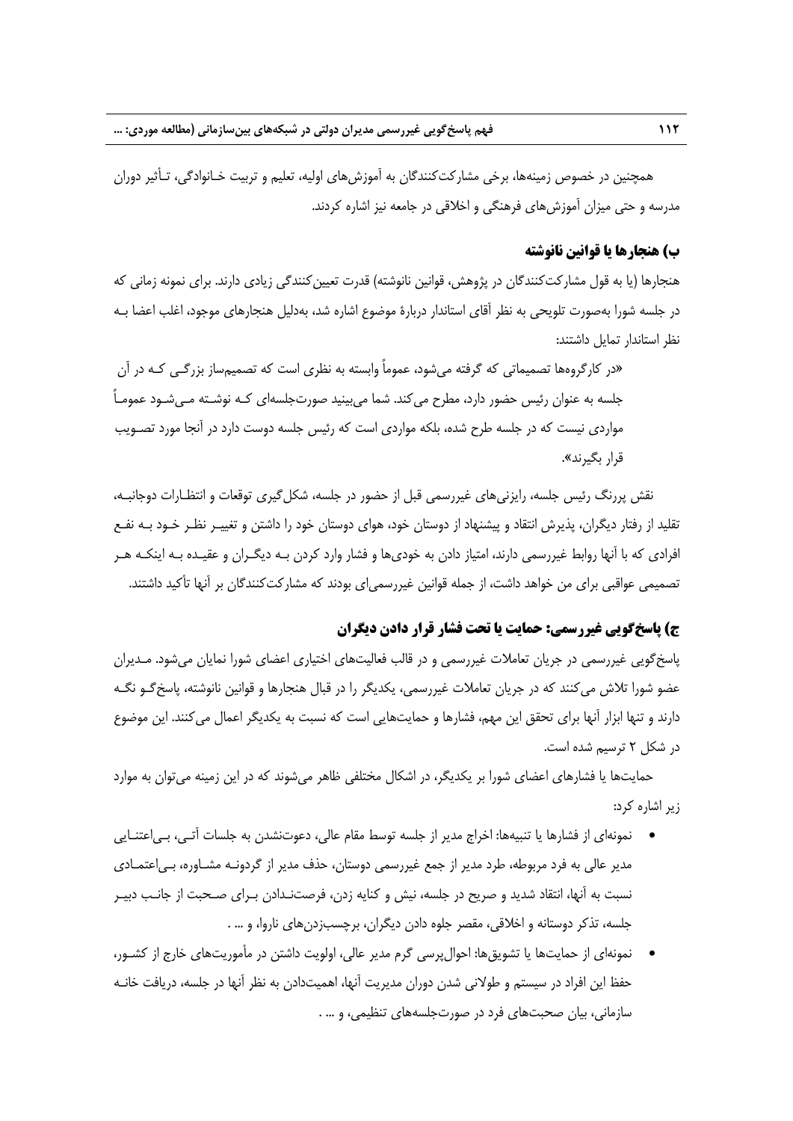همچنين در خصوص زمينهها، برخي مشاركتكنندگان به آموزشهاي اوليه، تعليم و تربيت خـانوادگي، تـأثير دوران مدرسه و حتي ميزان آموزشهاي فرهنگي و اخلاقي در جامعه نيز اشاره كردند.

#### **ب) هنجارها يا قوانين نانوشته**

هنجارها (يا به قول مشاركتكنندگان در پژوهش، قوانين نانوشته) قدرت تعيينكنندگي زيادي دارند. براي نمونه زماني كه در جلسه شورا بهصورت تلويحي به نظر آقاي استاندار دربارة موضوع اشاره شد، بهدليل هنجارهاي موجود، اغلب اعضا بـه نظر استاندار تمايل داشتند:

«در كارگروهها تصميماتي كه گرفته ميشود، عموماً وابسته به نظري است كه تصميمساز بزرگـي كـه در آن جلسه به عنوان رئيس حضور دارد، مطرح ميكند. شما ميبينيد صورتجلسهاي كـه نوشـته مـيشـود عمومـاً مواردي نيست كه در جلسه طرح شده، بلكه مواردي است كه رئيس جلسه دوست دارد در آنجا مورد تصـويب قرار بگيرند».

نقش پررنگ رئيس جلسه، رايزنيهاي غيررسمي قبل از حضور در جلسه، شكلگيري توقعات و انتظـارات دوجانبـه، تقليد از رفتار ديگران، پذيرش انتقاد و پيشنهاد از دوستان خود، هواي دوستان خود را داشتن و تغييـر نظـر خـود بـه نفـع افرادي كه با آنها روابط غيررسمي دارند، امتياز دادن به خوديها و فشار وارد كردن بـه ديگـران و عقيـده بـه اينكـه هـر تصميمي عواقبي براي من خواهد داشت، از جمله قوانين غيررسمياي بودند كه مشاركتكنندگان بر آنها تأكيد داشتند.

### **ج) پاسخگويي غيررسمي: حمايت يا تحت فشار قرار دادن ديگران**

پاسخگويي غيررسمي در جريان تعاملات غيررسمي و در قالب فعاليتهاي اختياري اعضاي شورا نمايان ميشود. مـديران عضو شورا تلاش ميكنند كه در جريان تعاملات غيررسمي، يكديگر را در قبال هنجارها و قوانين نانوشته، پاسخگـو نگـه دارند و تنها ابزار آنها براي تحقق اين مهم، فشارها و حمايتهايي است كه نسبت به يكديگر اعمال ميكنند. اين موضوع در شكل 2 ترسيم شده است.

حمايتها يا فشارهاي اعضاي شورا بر يكديگر، در اشكال مختلفي ظاهر ميشوند كه در اين زمينه ميتوان به موارد زير اشاره كرد:

- نمونهاي از فشارها يا تنبيهها: اخراج مدير از جلسه توسط مقام عالي، دعوتنشدن به جلسات آتـي، بـياعتنـايي مدير عالي به فرد مربوطه، طرد مدير از جمع غيررسمي دوستان، حذف مدير از گردونـه مشـاوره، بـياعتمـادي نسبت به آنها، انتقاد شديد و صريح در جلسه، نيش و كنايه زدن، فرصتنـدادن بـراي صـحبت از جانـب دبيـر جلسه، تذكر دوستانه و اخلاقي، مقصر جلوه دادن ديگران، برچسبزدنهاي ناروا، و ... .
- نمونهاي از حمايتها يا تشويقها: احوالپرسي گرم مدير عالي، اولويت داشتن در مأموريتهاي خارج از كشـور، حفظ اين افراد در سيستم و طولاني شدن دوران مديريت آنها، اهميتدادن به نظر آنها در جلسه، دريافت خانـه سازماني، بيان صحبتهاي فرد در صورتجلسههاي تنظيمي، و ... .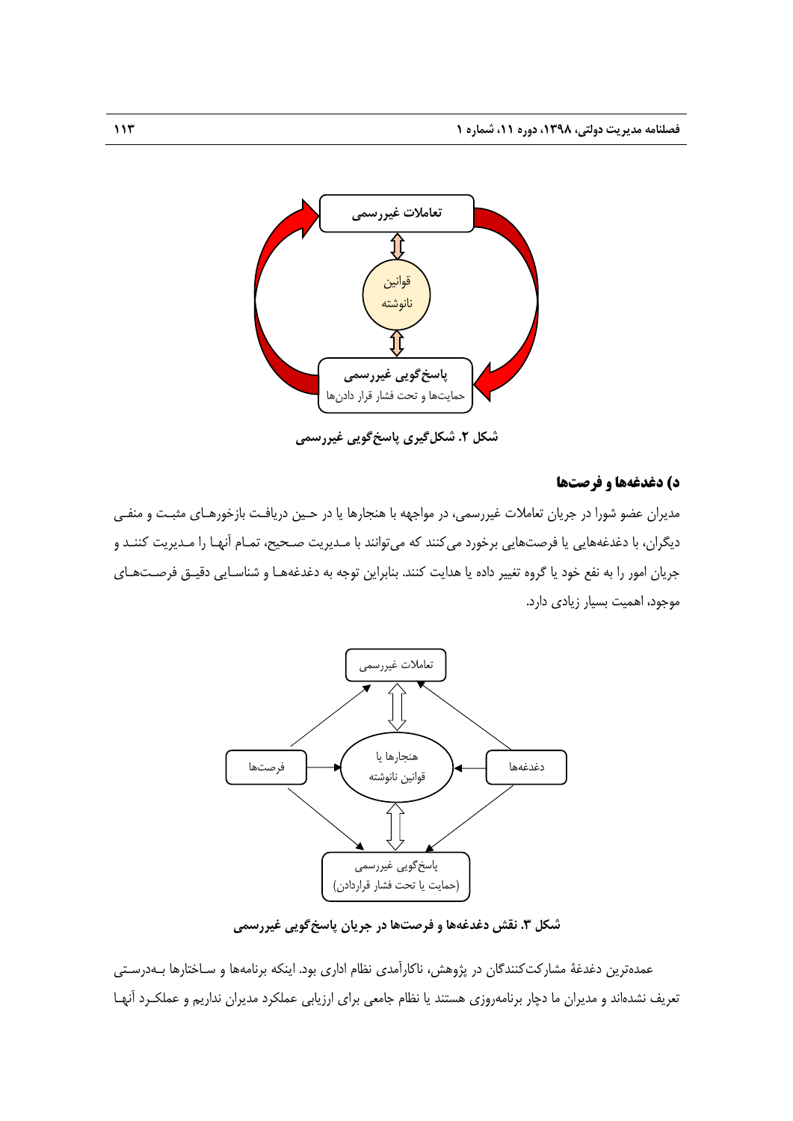

**شكل .2 شكلگيري پاسخگويي غيررسمي** 

#### **د) دغدغهها و فرصتها**

مديران عضو شورا در جريان تعاملات غيررسمي، در مواجهه با هنجارها يا در حـين دريافـت بازخورهـاي مثبـت و منفـي ديگران، با دغدغههايي يا فرصتهايي برخورد ميكنند كه ميتوانند با مـديريت صـحيح، تمـام آنهـا را مـديريت كننـد و جريان امور را به نفع خود يا گروه تغيير داده يا هدايت كنند. بنابراين توجه به دغدغههـا و شناسـايي دقيـق فرصـتهـاي موجود، اهميت بسيار زيادي دارد.



**شكل .3 نقش دغدغهها و فرصتها در جريان پاسخگويي غيررسمي** 

عمدهترين دغدغة مشاركتكنندگان در پژوهش، ناكارآمدي نظام اداري بود. اينكه برنامهها و سـاختارها بـهدرسـتي تعريف نشدهاند و مديران ما دچار برنامهروزي هستند يا نظام جامعي براي ارزيابي عملكرد مديران نداريم و عملكـرد آنهـا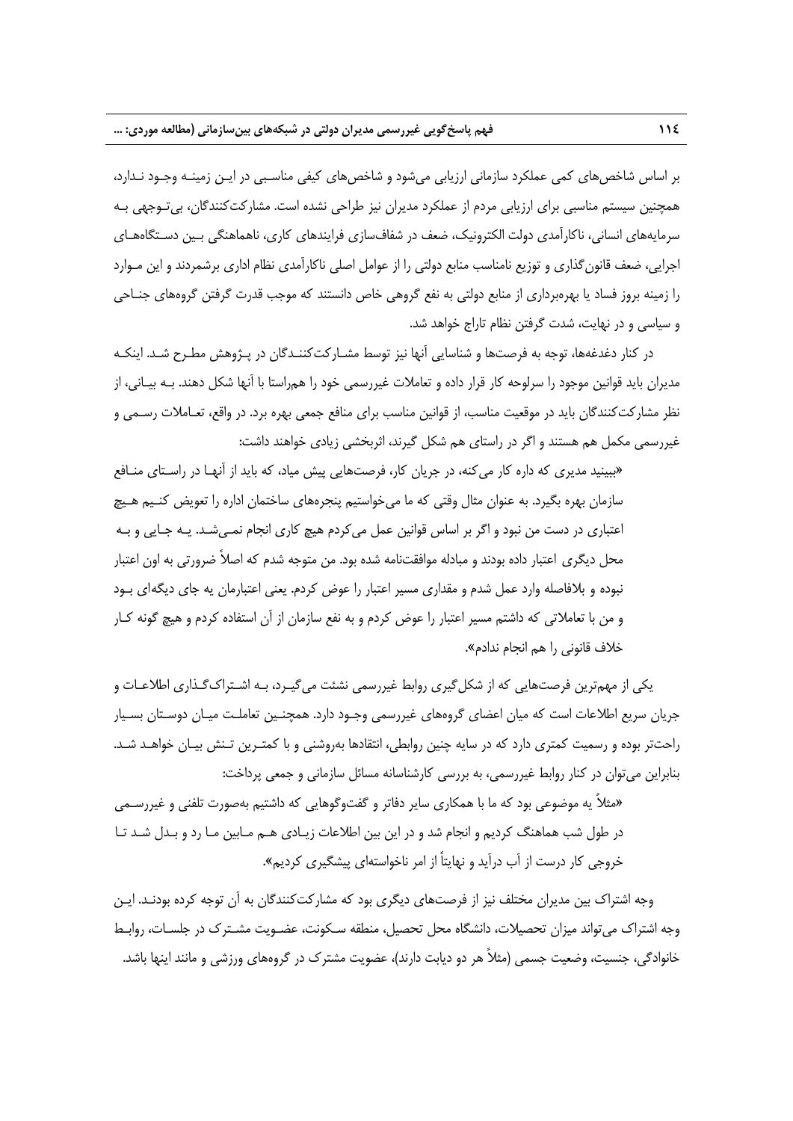بر اساس شاخصهاي كمي عملكرد سازماني ارزيابي ميشود و شاخصهاي كيفي مناسـبي در ايـن زمينـه وجـود نـدارد، همچنين سيستم مناسبي براي ارزيابي مردم از عملكرد مديران نيز طراحي نشده است. مشاركتكنندگان، بيتـوجهي بـه سرمايههاي انساني، ناكارآمدي دولت الكترونيك، ضعف در شفافسازي فرايندهاي كاري، ناهماهنگي بـين دسـتگاههـاي اجرايي، ضعف قانونگذاري و توزيع نامناسب منابع دولتي را از عوامل اصلي ناكارآمدي نظام اداري برشمردند و اين مـوارد را زمينه بروز فساد يا بهرهبرداري از منابع دولتي به نفع گروهي خاص دانستند كه موجب قدرت گرفتن گروههاي جنـاحي و سياسي و در نهايت، شدت گرفتن نظام تاراج خواهد شد.

در كنار دغدغهها، توجه به فرصتها و شناسايي آنها نيز توسط مشـاركتكننـدگان در پـژوهش مطـرح شـد. اينكـه مديران بايد قوانين موجود را سرلوحه كار قرار داده و تعاملات غيررسمي خود را همراستا با آنها شكل دهند. بـه بيـاني، از نظر مشاركت كنندگان بايد در موقعيت مناسب، از قوانين مناسب براي منافع جمعي بهره برد. در واقع، تعـاملات رسـمي و غيررسمي مكمل هم هستند و اگر در راستاي هم شكل گيرند، اثربخشي زيادي خواهند داشت:

«ببينيد مديري كه داره كار ميكنه، در جريان كار، فرصتهايي پيش مياد، كه بايد از آنهـا در راسـتاي منـافع سازمان بهره بگيرد. به عنوان مثال وقتي كه ما ميخواستيم پنجرههاي ساختمان اداره را تعويض كنـيم هـيچ اعتباري در دست من نبود و اگر بر اساس قوانين عمل ميكردم هيچ كاري انجام نمـيشـد. يـه جـايي و بـه محل ديگري اعتبار داده بودند و مبادله موافقتنامه شده بود. من متوجه شدم كه اصلاً ضرورتي به اون اعتبار نبوده و بلافاصله وارد عمل شدم و مقداري مسير اعتبار را عوض كردم. يعني اعتبارمان يه جاي ديگهاي بـود و من با تعاملاتي كه داشتم مسير اعتبار را عوض كردم و به نفع سازمان از آن استفاده كردم و هيچ گونه كـار خلاف قانوني را هم انجام ندادم».

يكي از مهمترين فرصتهايي كه از شكلگيري روابط غيررسمي نشئت ميگيـرد، بـه اشـتراكگـذاري اطلاعـات و جريان سريع اطلاعات است كه ميان اعضاي گروههاي غيررسمي وجـود دارد. همچنـين تعاملـت ميـان دوسـتان بسـيار راحتتر بوده و رسميت كمتري دارد كه در سايه چنين روابطي، انتقادها بهروشني و با كمتـرين تـنش بيـان خواهـد شـد. بنابراين ميتوان در كنار روابط غيررسمي، به بررسي كارشناسانه مسائل سازماني و جمعي پرداخت:

«مثلاً يه موضوعي بود كه ما با همكاري ساير دفاتر و گفتوگوهايي كه داشتيم بهصورت تلفني و غيررسـمي در طول شب هماهنگ كرديم و انجام شد و در اين بين اطلاعات زيـادي هـم مـابين مـا رد و بـدل شـد تـا خروجي كار درست از آب درآيد و نهايتاً از امر ناخواستهاي پيشگيري كرديم».

وجه اشتراك بين مديران مختلف نيز از فرصتهاي ديگري بود كه مشاركتكنندگان به آن توجه كرده بودنـد. ايـن وجه اشتراك ميتواند ميزان تحصيلات، دانشگاه محل تحصيل، منطقه سـكونت، عضـويت مشـترك در جلسـات، روابـط خانوادگي، جنسيت، وضعيت جسمي (مثلاً هر دو ديابت دارند)، عضويت مشترك در گروههاي ورزشي و مانند اينها باشد.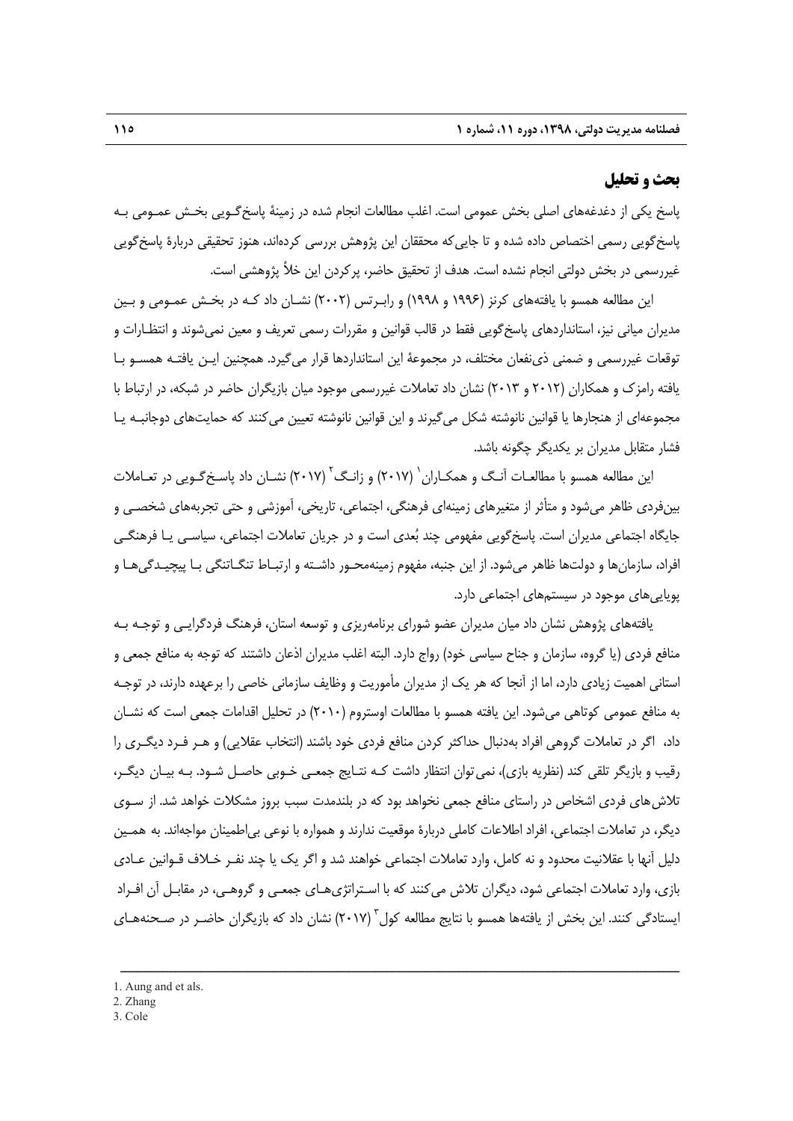#### **بحث و تحليل**

پاسخ يكي از دغدغههاي اصلي بخش عمومي است. اغلب مطالعات انجام شده در زمينة پاسخگـويي بخـش عمـومي بـه پاسخگويي رسمي اختصاص داده شده و تا جاييكه محققان اين پژوهش بررسي كردهاند، هنوز تحقيقي دربارة پاسخگويي غيررسمي در بخش دولتي انجام نشده است. هدف از تحقيق حاضر، پركردن اين خلأ پژوهشي است.

اين مطالعه همسو با يافتههاي كرنز (1996 و 1998) و رابـرتس (2002) نشـان داد كـه در بخـش عمـومي و بـين مديران مياني نيز، استانداردهاي پاسخگويي فقط در قالب قوانين و مقررات رسمي تعريف و معين نميشوند و انتظـارات و توقعات غيررسمي و ضمني ذينفعان مختلف، در مجموعة اين استانداردها قرار ميگيرد. همچنين ايـن يافتـه همسـو بـا يافته رامزك و همكاران (2012 و 2013) نشان داد تعاملات غيررسمي موجود ميان بازيگران حاضر در شبكه، در ارتباط با مجموعهاي از هنجارها يا قوانين نانوشته شكل ميگيرند و اين قوانين نانوشته تعيين ميكنند كه حمايتهاي دوجانبـه يـا فشار متقابل مديران بر يكديگر چگونه باشد.

اين مطالعه همسو با مطالعـات آنـگ و همكـاران <sup>(</sup> (٢٠١٧) و زانـگ<sup>۲</sup> (٢٠١٧) نشـان داد پاسـخ *گـويي* در تعـاملات بينفردي ظاهر ميشود و متأثر از متغيرهاي زمينهاي فرهنگي، اجتماعي، تاريخي، آموزشي و حتي تجربههاي شخصـي و جايگاه اجتماعي مديران است. پاسخگويي مفهومي چند بعدي است و در جريان تعاملات اجتماعي، سياسـي يـا فرهنگـي افراد، سازمانها و دولتها ظاهر ميشود. از اين جنبه، مفهوم زمينهمحـور داشـته و ارتبـاط تنگـاتنگي بـا پيچيـدگيهـا و پوياييهاي موجود در سيستمهاي اجتماعي دارد.

يافتههاي پژوهش نشان داد ميان مديران عضو شوراي برنامهريزي و توسعه استان، فرهنگ فردگرايـي و توجـه بـه منافع فردي (يا گروه، سازمان و جناح سياسي خود) رواج دارد. البته اغلب مديران اذعان داشتند كه توجه به منافع جمعي و استاني اهميت زيادي دارد، اما از آنجا كه هر يك از مديران مأموريت و وظايف سازماني خاصي را برعهده دارند، در توجـه به منافع عمومي كوتاهي ميشود. اين يافته همسو با مطالعات اوستروم (2010) در تحليل اقدامات جمعي است كه نشـان داد، اگر در تعاملات گروهي افراد بهدنبال حداكثر كردن منافع فردي خود باشند (انتخاب عقلايي) و هـر فـرد ديگـري را رقيب و بازيگر تلقي كند (نظريه بازي)، نميتوان انتظار داشت كـه نتـايج جمعـي خـوبي حاصـل شـود. بـه بيـان ديگـر، تلاشهاي فردي اشخاص در راستاي منافع جمعي نخواهد بود كه در بلندمدت سبب بروز مشكلات خواهد شد. از سـوي ديگر، در تعاملات اجتماعي، افراد اطلاعات كاملي دربارة موقعيت ندارند و همواره با نوعي بياطمينان مواجهاند. به همـين دليل آنها با عقلانيت محدود و نه كامل، وارد تعاملات اجتماعي خواهند شد و اگر يك يا چند نفـر خـلاف قـوانين عـادي بازي، وارد تعاملات اجتماعي شود، ديگران تلاش ميكنند كه با اسـتراتژيهـاي جمعـي و گروهـي، در مقابـل آن افـراد ايستادگي كنند. اين بخش از يافتهها همسو با نتايج مطالعه كول<sup>" (</sup>۲۰۱۷) نشان داد كه بازيگران حاضـر در صـحنههـاي

ــــــــــــــــــــــــــــــــــــــــــــــــــــــــــــــــــــــــــــــــــــــــــــــــــــــــــــــــــــــــــــــــــــ

3. Cole

<sup>1.</sup> Aung and et als.

<sup>2.</sup> Zhang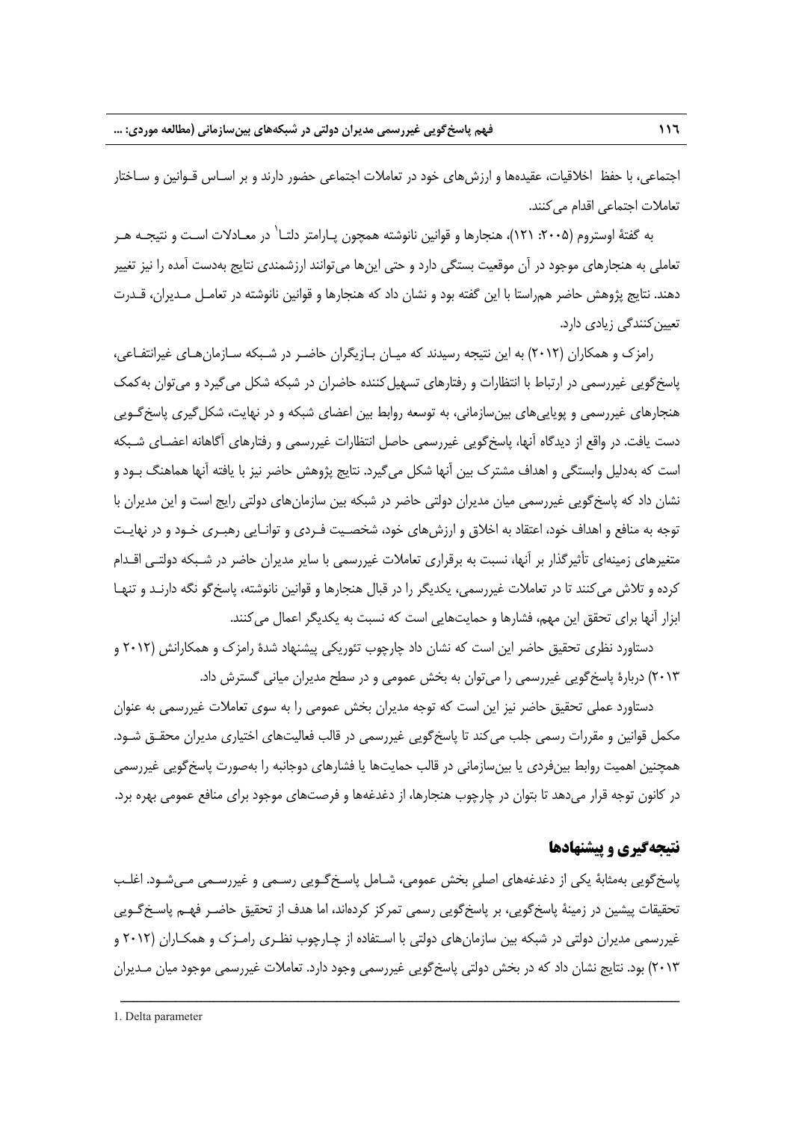اجتماعي، با حفظ اخلاقيات، عقيدهها و ارزشهاي خود در تعاملات اجتماعي حضور دارند و بر اسـاس قـوانين و سـاختار تعاملات اجتماعي اقدام ميكنند.

به گفتهٔ اوستروم (۲۰۰۵: ۱۲۱)، هنجارها و قوانین نانوشته همچون پـارامتر دلتـا` در معـادلات اسـت و نتیجـه هــر تعاملي به هنجارهاي موجود در آن موقعيت بستگي دارد و حتي اينها ميتوانند ارزشمندي نتايج بهدست آمده را نيز تغيير دهند. نتايج پژوهش حاضر همراستا با اين گفته بود و نشان داد كه هنجارها و قوانين نانوشته در تعامـل مـديران، قـدرت تعيينكنندگي زيادي دارد.

رامزك و همكاران (2012) به اين نتيجه رسيدند كه ميـان بـازيگران حاضـر در شـبكه سـازمانهـاي غيرانتفـاعي، پاسخگويي غيررسمي در ارتباط با انتظارات و رفتارهاي تسهيلكننده حاضران در شبكه شكل ميگيرد و ميتوان بهكمك هنجارهاي غيررسمي و پوياييهاي بينسازماني، به توسعه روابط بين اعضاي شبكه و در نهايت، شكلگيري پاسخگـويي دست يافت. در واقع از ديدگاه آنها، پاسخگويي غيررسمي حاصل انتظارات غيررسمي و رفتارهاي آگاهانه اعضـاي شـبكه است كه بهدليل وابستگي و اهداف مشترك بين آنها شكل ميگيرد. نتايج پژوهش حاضر نيز با يافته آنها هماهنگ بـود و نشان داد كه پاسخگويي غيررسمي ميان مديران دولتي حاضر در شبكه بين سازمانهاي دولتي رايج است و اين مديران با توجه به منافع و اهداف خود، اعتقاد به اخلاق و ارزشهاي خود، شخصـيت فـردي و توانـايي رهبـري خـود و در نهايـت متغيرهاي زمينهاي تأثيرگذار بر آنها، نسبت به برقراري تعاملات غيررسمي با ساير مديران حاضر در شـبكه دولتـي اقـدام كرده و تلاش ميكنند تا در تعاملات غيررسمي، يكديگر را در قبال هنجارها و قوانين نانوشته، پاسخگو نگه دارنـد و تنهـا ابزار آنها براي تحقق اين مهم، فشارها و حمايتهايي است كه نسبت به يكديگر اعمال ميكنند.

دستاورد نظري تحقيق حاضر اين است كه نشان داد چارچوب تئوريكي پيشنهاد شدة رامزك و همكارانش (2012 و 2013) دربارة پاسخگويي غيررسمي را ميتوان به بخش عمومي و در سطح مديران مياني گسترش داد.

دستاورد عملي تحقيق حاضر نيز اين است كه توجه مديران بخش عمومي را به سوي تعاملات غيررسمي به عنوان مكمل قوانين و مقررات رسمي جلب ميكند تا پاسخگويي غيررسمي در قالب فعاليتهاي اختياري مديران محقـق شـود. همچنين اهميت روابط بينفردي يا بينسازماني در قالب حمايتها يا فشارهاي دوجانبه را بهصورت پاسخگويي غيررسمي در كانون توجه قرار ميدهد تا بتوان در چارچوب هنجارها، از دغدغهها و فرصتهاي موجود براي منافع عمومي بهره برد.

#### **نتيجهگيري و پيشنهادها**

پاسخگويي بهمثابة يكي از دغدغههاي اصليِ بخش عمومي، شـامل پاسـخگـويي رسـمي و غيررسـمي مـيشـود. اغلـب تحقيقات پيشين در زمينة پاسخگويي، بر پاسخگويي رسمي تمركز كردهاند، اما هدف از تحقيق حاضـر فهـم پاسـخگـويي غيررسمي مديران دولتي در شبكه بين سازمانهاي دولتي با اسـتفاده از چـارچوب نظـري رامـزك و همكـاران (2012 و 2013) بود. نتايج نشان داد كه در بخش دولتي پاسخگويي غيررسمي وجود دارد. تعاملات غيررسمي موجود ميان مـديران

<sup>1.</sup> Delta parameter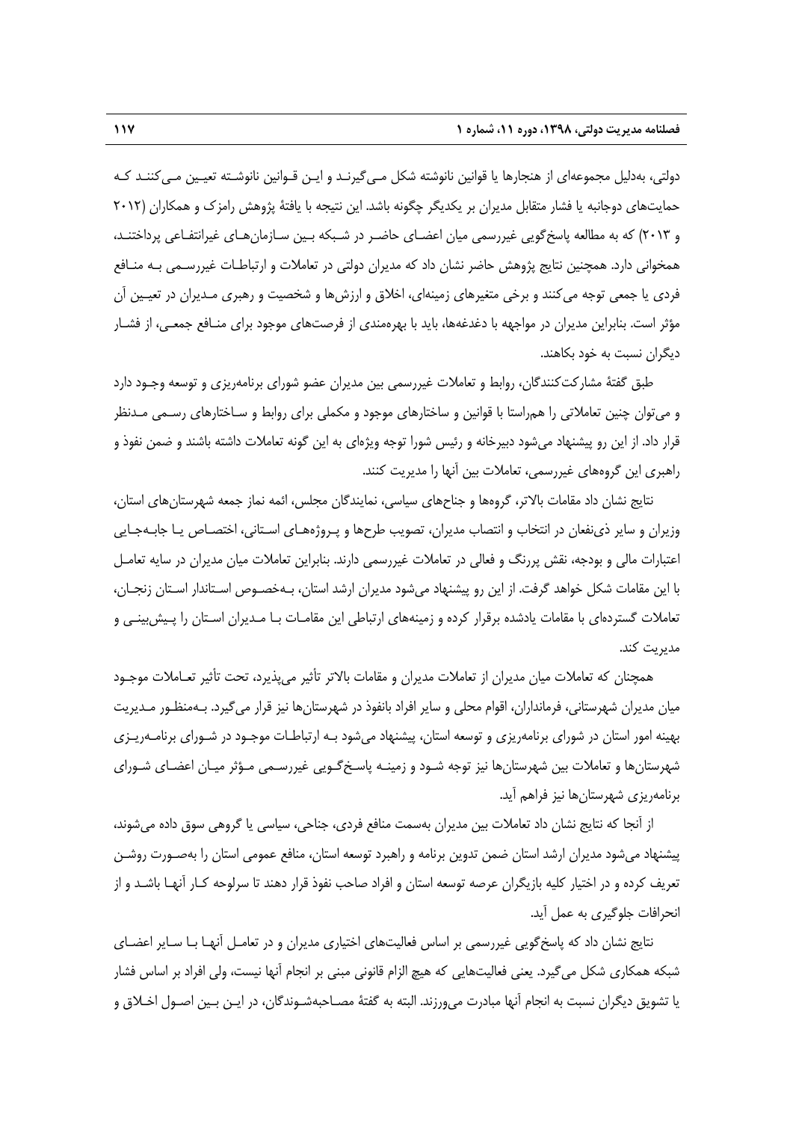دولتي، بهدليل مجموعهاي از هنجارها يا قوانين نانوشته شكل مـيگيرنـد و ايـن قـوانين نانوشـته تعيـين مـيكننـد كـه حمايتهاي دوجانبه يا فشار متقابل مديران بر يكديگر چگونه باشد. اين نتيجه با يافتة پژوهش رامزك و همكاران (2012 و 2013) كه به مطالعه پاسخگويي غيررسمي ميان اعضـاي حاضـر در شـبكه بـين سـازمانهـاي غيرانتفـاعي پرداختنـد، همخواني دارد. همچنين نتايج پژوهش حاضر نشان داد كه مديران دولتي در تعاملات و ارتباطـات غيررسـمي بـه منـافع فردي يا جمعي توجه ميكنند و برخي متغيرهاي زمينهاي، اخلاق و ارزشها و شخصيت و رهبري مـديران در تعيـين آن مؤثر است. بنابراين مديران در مواجهه با دغدغهها، بايد با بهرهمندي از فرصتهاي موجود براي منـافع جمعـي، از فشـار ديگران نسبت به خود بكاهند.

طبق گفتة مشاركتكنندگان، روابط و تعاملات غيررسمي بين مديران عضو شوراي برنامهريزي و توسعه وجـود دارد و ميتوان چنين تعاملاتي را همراستا با قوانين و ساختارهاي موجود و مكملي براي روابط و سـاختارهاي رسـمي مـدنظر قرار داد. از اين رو پيشنهاد ميشود دبيرخانه و رئيس شورا توجه ويژهاي به اين گونه تعاملات داشته باشند و ضمن نفوذ و راهبري اين گروههاي غيررسمي، تعاملات بين آنها را مديريت كنند.

نتايج نشان داد مقامات بالاتر، گروهها و جناحهاي سياسي، نمايندگان مجلس، ائمه نماز جمعه شهرستانهاي استان، وزيران و ساير ذينفعان در انتخاب و انتصاب مديران، تصويب طرحها و پـروژههـاي اسـتاني، اختصـاص يـا جابـهجـايي اعتبارات مالي و بودجه، نقش پررنگ و فعالي در تعاملات غيررسمي دارند. بنابراين تعاملات ميان مديران در سايه تعامـل با اين مقامات شكل خواهد گرفت. از اين رو پيشنهاد ميشود مديران ارشد استان، بـهخصـوص اسـتاندار اسـتان زنجـان، تعاملات گستردهاي با مقامات يادشده برقرار كرده و زمينههاي ارتباطي اين مقامـات بـا مـديران اسـتان را پـيشبينـي و مديريت كند.

همچنان كه تعاملات ميان مديران از تعاملات مديران و مقامات بالاتر تأثير ميپذيرد، تحت تأثير تعـاملات موجـود ميان مديران شهرستاني، فرمانداران، اقوام محلي و ساير افراد بانفوذ در شهرستانها نيز قرار ميگيرد. بـهمنظـور مـديريت بهينه امور استان در شوراي برنامهريزي و توسعه استان، پيشنهاد ميشود بـه ارتباطـات موجـود در شـوراي برنامـهريـزي شهرستانها و تعاملات بين شهرستانها نيز توجه شـود و زمينـه پاسـخگـويي غيررسـمي مـؤثر ميـان اعضـاي شـوراي برنامهريزي شهرستانها نيز فراهم آيد.

از آنجا كه نتايج نشان داد تعاملات بين مديران بهسمت منافع فردي، جناحي، سياسي يا گروهي سوق داده ميشوند، پيشنهاد ميشود مديران ارشد استان ضمن تدوين برنامه و راهبرد توسعه استان، منافع عمومي استان را بهصـورت روشـن تعريف كرده و در اختيار كليه بازيگران عرصه توسعه استان و افراد صاحب نفوذ قرار دهند تا سرلوحه كـار آنهـا باشـد و از انحرافات جلوگيري به عمل آيد.

نتايج نشان داد كه پاسخگويي غيررسمي بر اساس فعاليتهاي اختياري مديران و در تعامـل آنهـا بـا سـاير اعضـاي شبكه همكاري شكل ميگيرد. يعني فعاليتهايي كه هيچ الزام قانوني مبني بر انجام آنها نيست، ولي افراد بر اساس فشار يا تشويق ديگران نسبت به انجام آنها مبادرت ميورزند. البته به گفتة مصـاحبهشـوندگان، در ايـن بـين اصـول اخـلاق و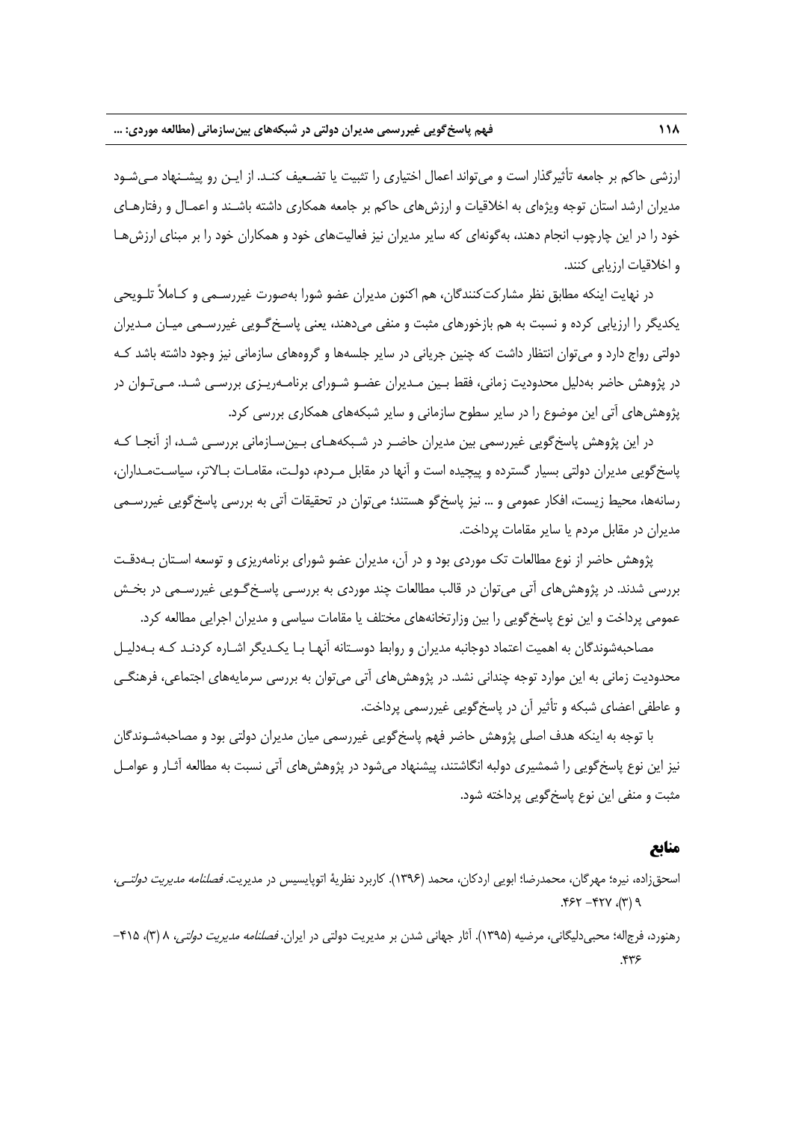ارزشي حاكم بر جامعه تأثيرگذار است و ميتواند اعمال اختياري را تثبيت يا تضـعيف كنـد. از ايـن رو پيشـنهاد مـيشـود مديران ارشد استان توجه ويژهاي به اخلاقيات و ارزشهاي حاكم بر جامعه همكاري داشته باشـند و اعمـال و رفتارهـاي خود را در اين چارچوب انجام دهند، بهگونهاي كه ساير مديران نيز فعاليتهاي خود و همكاران خود را بر مبناي ارزشهـا و اخلاقيات ارزيابي كنند.

در نهايت اينكه مطابق نظر مشاركتكنندگان، هم اكنون مديران عضو شورا بهصورت غيررسـمي و كـاملاً تلـويحي يكديگر را ارزيابي كرده و نسبت به هم بازخورهاي مثبت و منفي ميدهند، يعني پاسـخگـويي غيررسـمي ميـان مـديران دولتي رواج دارد و ميتوان انتظار داشت كه چنين جرياني در ساير جلسهها و گروههاي سازماني نيز وجود داشته باشد كـه در پژوهش حاضر بهدليل محدوديت زماني، فقط بـين مـديران عضـو شـوراي برنامـهريـزي بررسـي شـد. مـيتـوان در پژوهشهاي آتي اين موضوع را در ساير سطوح سازماني و ساير شبكههاي همكاري بررسي كرد.

در اين پژوهش پاسخگويي غيررسمي بين مديران حاضـر در شـبكههـاي بـينسـازماني بررسـي شـد، از آنجـا كـه پاسخگويي مديران دولتي بسيار گسترده و پيچيده است و آنها در مقابل مـردم، دولـت، مقامـات بـالاتر، سياسـتمـداران، رسانهها، محيط زيست، افكار عمومي و ... نيز پاسخگو هستند؛ ميتوان در تحقيقات آتي به بررسي پاسخگويي غيررسـمي مديران در مقابل مردم يا ساير مقامات پرداخت.

پژوهش حاضر از نوع مطالعات تك موردي بود و در آن، مديران عضو شوراي برنامهريزي و توسعه اسـتان بـهدقـت بررسي شدند. در پژوهشهاي آتي ميتوان در قالب مطالعات چند موردي به بررسـي پاسـخگـويي غيررسـمي در بخـش عمومي پرداخت و اين نوع پاسخگويي را بين وزارتخانههاي مختلف يا مقامات سياسي و مديران اجرايي مطالعه كرد.

مصاحبهشوندگان به اهميت اعتماد دوجانبه مديران و روابط دوسـتانه آنهـا بـا يكـديگر اشـاره كردنـد كـه بـهدليـل محدوديت زماني به اين موارد توجه چنداني نشد. در پژوهشهاي آتي ميتوان به بررسي سرمايههاي اجتماعي، فرهنگـي و عاطفي اعضاي شبكه و تأثير آن در پاسخگويي غيررسمي پرداخت.

با توجه به اينكه هدف اصلي پژوهش حاضر فهم پاسخگويي غيررسمي ميان مديران دولتي بود و مصاحبهشـوندگان نيز اين نوع پاسخگويي را شمشيري دولبه انگاشتند، پيشنهاد ميشود در پژوهشهاي آتي نسبت به مطالعه آثـار و عوامـل مثبت و منفي اين نوع پاسخگويي پرداخته شود.

#### **منابع**

- اسحقزاده، نيره؛ مهرگان، محمدرضا؛ ابويي اردكان، محمد (1396). كاربرد نظرية اتوپايسيس در مديريت. فصلنامه مديريت دولتـي،  $P(T), YYY - YZY$ .
- رهنورد، فرجاله؛ محبي دليگاني، مرضيه (١٣٩۵). آثار جهاني شدن بر مديريت دولتي در ايران. *فصلنامه مديريت دولتي*، ٨ (٣)، ۴۱۵-.436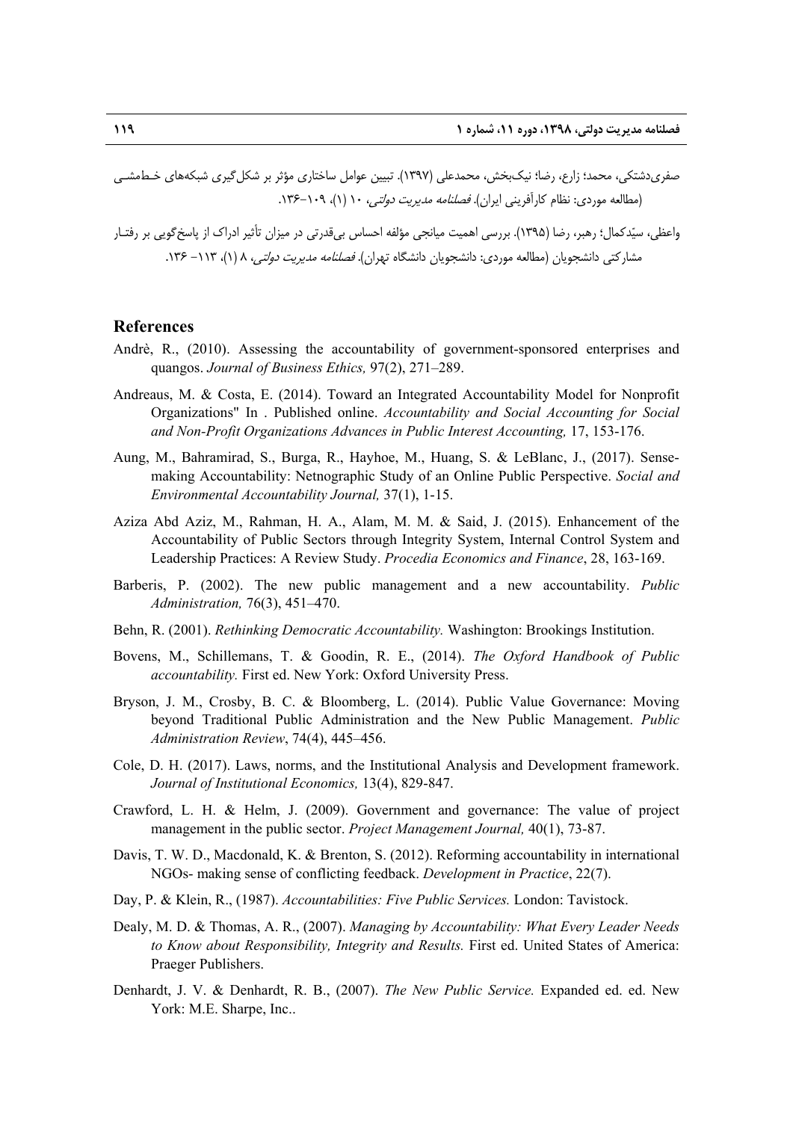صفريدشتكي، محمد؛ زارع، رضا؛ نيكبخش، محمدعلي (1397). تبيين عوامل ساختاري مؤثر بر شكلگيري شبكههاي خـطمشـي (مطالعه موردي: نظام كارآفريني ايران). فصلنامه مديريت دولتي، 10 (1)، .136-109

واعظي، سيدكمال؛ رهبر، رضا (1395). بررسي اهميت ميانجي مؤلفه احساس بيقدرتي در ميزان تأثير ادراك از پاسخگويي بر رفتـار مشاركتي دانشجويان (مطالعه موردي: دانشجويان دانشگاه ت<u>هران). *فصلنامه مديريت دولتي،* ۸ (۱)، ۱</u>۱۳ – ۱۳۶.

#### **References**

- Andrè, R., (2010). Assessing the accountability of government-sponsored enterprises and quangos. *Journal of Business Ethics,* 97(2), 271–289.
- Andreaus, M. & Costa, E. (2014). Toward an Integrated Accountability Model for Nonprofit Organizations" In . Published online. *Accountability and Social Accounting for Social and Non-Profit Organizations Advances in Public Interest Accounting,* 17, 153-176.
- Aung, M., Bahramirad, S., Burga, R., Hayhoe, M., Huang, S. & LeBlanc, J., (2017). Sensemaking Accountability: Netnographic Study of an Online Public Perspective. *Social and Environmental Accountability Journal,* 37(1), 1-15.
- Aziza Abd Aziz, M., Rahman, H. A., Alam, M. M. & Said, J. (2015). Enhancement of the Accountability of Public Sectors through Integrity System, Internal Control System and Leadership Practices: A Review Study. *Procedia Economics and Finance*, 28, 163-169.
- Barberis, P. (2002). The new public management and a new accountability. *Public Administration,* 76(3), 451–470.
- Behn, R. (2001). *Rethinking Democratic Accountability.* Washington: Brookings Institution.
- Bovens, M., Schillemans, T. & Goodin, R. E., (2014). *The Oxford Handbook of Public accountability.* First ed. New York: Oxford University Press.
- Bryson, J. M., Crosby, B. C. & Bloomberg, L. (2014). Public Value Governance: Moving beyond Traditional Public Administration and the New Public Management. *Public Administration Review*, 74(4), 445–456.
- Cole, D. H. (2017). Laws, norms, and the Institutional Analysis and Development framework. *Journal of Institutional Economics,* 13(4), 829-847.
- Crawford, L. H. & Helm, J. (2009). Government and governance: The value of project management in the public sector. *Project Management Journal,* 40(1), 73-87.
- Davis, T. W. D., Macdonald, K. & Brenton, S. (2012). Reforming accountability in international NGOs- making sense of conflicting feedback. *Development in Practice*, 22(7).
- Day, P. & Klein, R., (1987). *Accountabilities: Five Public Services.* London: Tavistock.
- Dealy, M. D. & Thomas, A. R., (2007). *Managing by Accountability: What Every Leader Needs*  to Know about Responsibility, Integrity and Results. First ed. United States of America: Praeger Publishers.
- Denhardt, J. V. & Denhardt, R. B., (2007). *The New Public Service.* Expanded ed. ed. New York: M.E. Sharpe, Inc..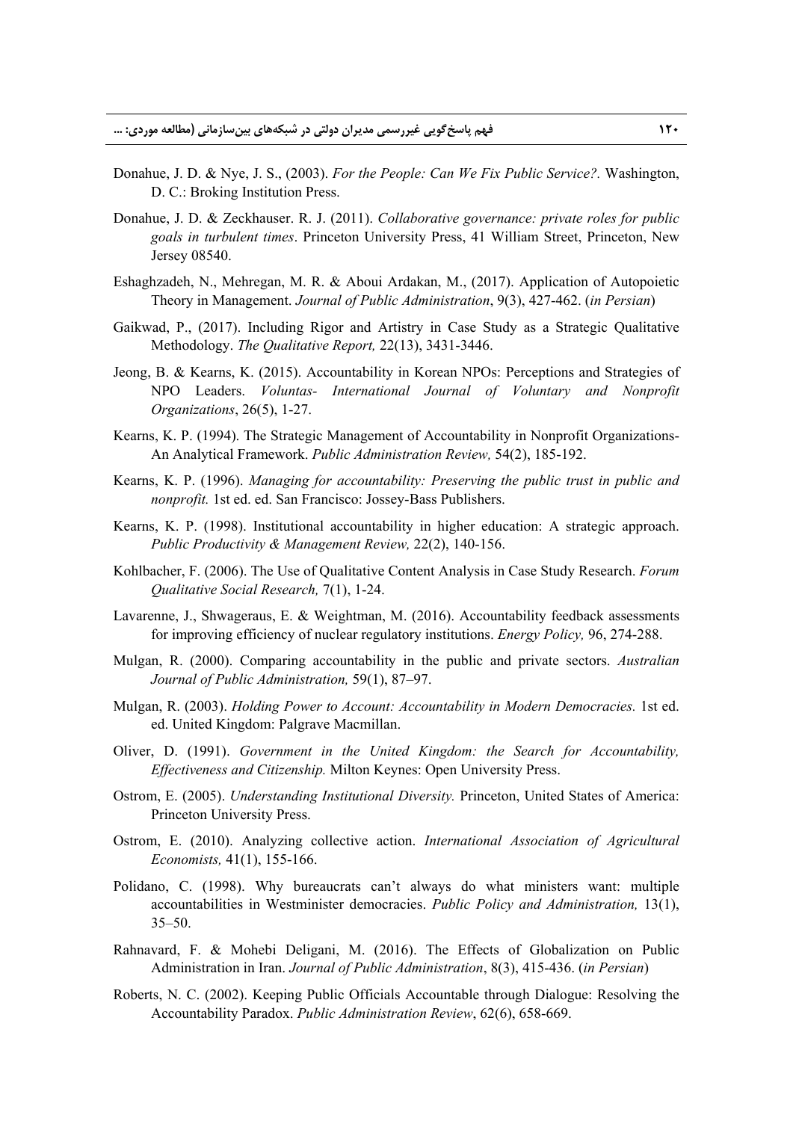- Donahue, J. D. & Nye, J. S., (2003). *For the People: Can We Fix Public Service?.* Washington, D. C.: Broking Institution Press.
- Donahue, J. D. & Zeckhauser. R. J. (2011). *Collaborative governance: private roles for public goals in turbulent times*. Princeton University Press, 41 William Street, Princeton, New Jersey 08540.
- Eshaghzadeh, N., Mehregan, M. R. & Aboui Ardakan, M., (2017). Application of Autopoietic Theory in Management. *Journal of Public Administration*, 9(3), 427-462. (*in Persian*)
- Gaikwad, P., (2017). Including Rigor and Artistry in Case Study as a Strategic Qualitative Methodology. *The Qualitative Report,* 22(13), 3431-3446.
- Jeong, B. & Kearns, K. (2015). Accountability in Korean NPOs: Perceptions and Strategies of NPO Leaders. *Voluntas- International Journal of Voluntary and Nonprofit Organizations*, 26(5), 1-27.
- Kearns, K. P. (1994). The Strategic Management of Accountability in Nonprofit Organizations-An Analytical Framework. *Public Administration Review,* 54(2), 185-192.
- Kearns, K. P. (1996). *Managing for accountability: Preserving the public trust in public and nonprofit.* 1st ed. ed. San Francisco: Jossey-Bass Publishers.
- Kearns, K. P. (1998). Institutional accountability in higher education: A strategic approach. *Public Productivity & Management Review,* 22(2), 140-156.
- Kohlbacher, F. (2006). The Use of Qualitative Content Analysis in Case Study Research. *Forum Qualitative Social Research,* 7(1), 1-24.
- Lavarenne, J., Shwageraus, E. & Weightman, M. (2016). Accountability feedback assessments for improving efficiency of nuclear regulatory institutions. *Energy Policy,* 96, 274-288.
- Mulgan, R. (2000). Comparing accountability in the public and private sectors. *Australian Journal of Public Administration,* 59(1), 87–97.
- Mulgan, R. (2003). *Holding Power to Account: Accountability in Modern Democracies.* 1st ed. ed. United Kingdom: Palgrave Macmillan.
- Oliver, D. (1991). *Government in the United Kingdom: the Search for Accountability, Effectiveness and Citizenship.* Milton Keynes: Open University Press.
- Ostrom, E. (2005). *Understanding Institutional Diversity.* Princeton, United States of America: Princeton University Press.
- Ostrom, E. (2010). Analyzing collective action. *International Association of Agricultural Economists,* 41(1), 155-166.
- Polidano, C. (1998). Why bureaucrats can't always do what ministers want: multiple accountabilities in Westminister democracies. *Public Policy and Administration,* 13(1), 35–50.
- Rahnavard, F. & Mohebi Deligani, M. (2016). The Effects of Globalization on Public Administration in Iran. *Journal of Public Administration*, 8(3), 415-436. (*in Persian*)
- Roberts, N. C. (2002). Keeping Public Officials Accountable through Dialogue: Resolving the Accountability Paradox. *Public Administration Review*, 62(6), 658-669.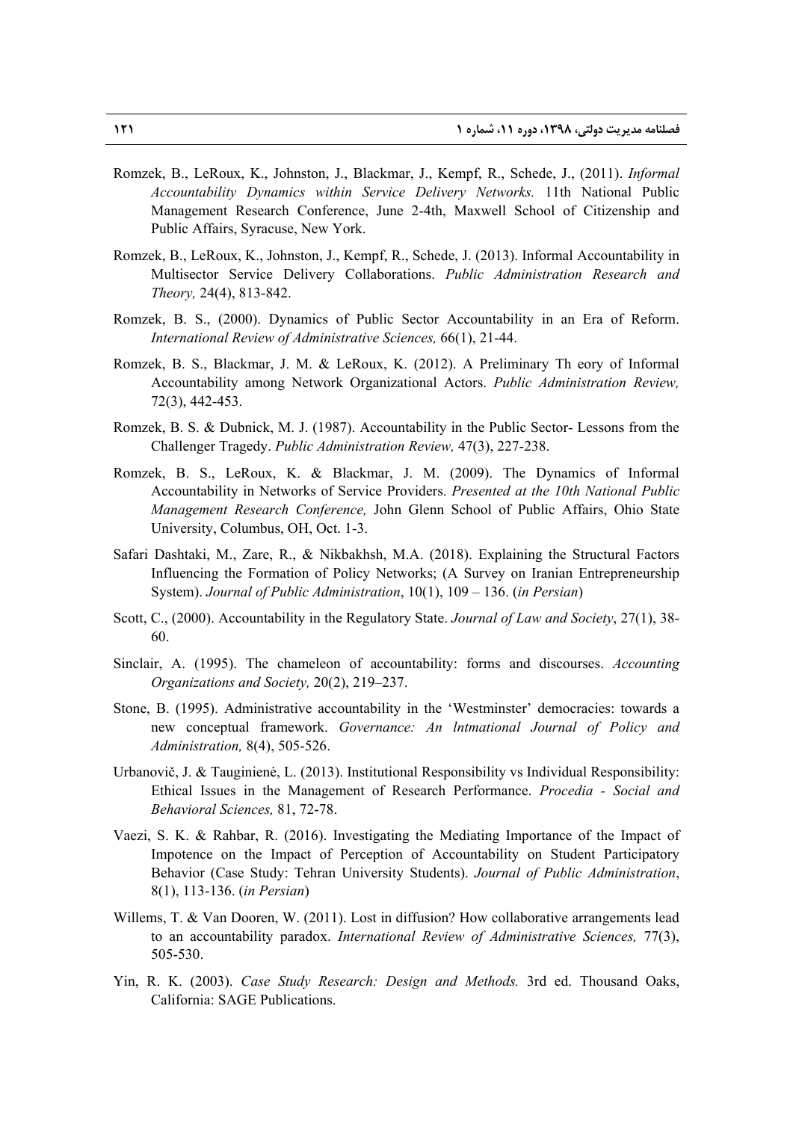- Romzek, B., LeRoux, K., Johnston, J., Blackmar, J., Kempf, R., Schede, J., (2011). *Informal Accountability Dynamics within Service Delivery Networks.* 11th National Public Management Research Conference, June 2-4th, Maxwell School of Citizenship and Public Affairs, Syracuse, New York.
- Romzek, B., LeRoux, K., Johnston, J., Kempf, R., Schede, J. (2013). Informal Accountability in Multisector Service Delivery Collaborations. *Public Administration Research and Theory,* 24(4), 813-842.
- Romzek, B. S., (2000). Dynamics of Public Sector Accountability in an Era of Reform. *International Review of Administrative Sciences,* 66(1), 21-44.
- Romzek, B. S., Blackmar, J. M. & LeRoux, K. (2012). A Preliminary Th eory of Informal Accountability among Network Organizational Actors. *Public Administration Review,*  72(3), 442-453.
- Romzek, B. S. & Dubnick, M. J. (1987). Accountability in the Public Sector- Lessons from the Challenger Tragedy. *Public Administration Review,* 47(3), 227-238.
- Romzek, B. S., LeRoux, K. & Blackmar, J. M. (2009). The Dynamics of Informal Accountability in Networks of Service Providers. *Presented at the 10th National Public Management Research Conference,* John Glenn School of Public Affairs, Ohio State University, Columbus, OH, Oct. 1-3.
- Safari Dashtaki, M., Zare, R., & Nikbakhsh, M.A. (2018). Explaining the Structural Factors Influencing the Formation of Policy Networks; (A Survey on Iranian Entrepreneurship System). *Journal of Public Administration*, 10(1), 109 – 136. (*in Persian*)
- Scott, C., (2000). Accountability in the Regulatory State. *Journal of Law and Society*, 27(1), 38- 60.
- Sinclair, A. (1995). The chameleon of accountability: forms and discourses. *Accounting Organizations and Society,* 20(2), 219–237.
- Stone, B. (1995). Administrative accountability in the 'Westminster' democracies: towards a new conceptual framework. *Governance: An lntmational Journal of Policy and Administration,* 8(4), 505-526.
- Urbanovič, J. & Tauginienė, L. (2013). Institutional Responsibility vs Individual Responsibility: Ethical Issues in the Management of Research Performance. *Procedia - Social and Behavioral Sciences,* 81, 72-78.
- Vaezi, S. K. & Rahbar, R. (2016). Investigating the Mediating Importance of the Impact of Impotence on the Impact of Perception of Accountability on Student Participatory Behavior (Case Study: Tehran University Students). *Journal of Public Administration*, 8(1), 113-136. (*in Persian*)
- Willems, T. & Van Dooren, W. (2011). Lost in diffusion? How collaborative arrangements lead to an accountability paradox. *International Review of Administrative Sciences,* 77(3), 505-530.
- Yin, R. K. (2003). *Case Study Research: Design and Methods.* 3rd ed. Thousand Oaks, California: SAGE Publications.